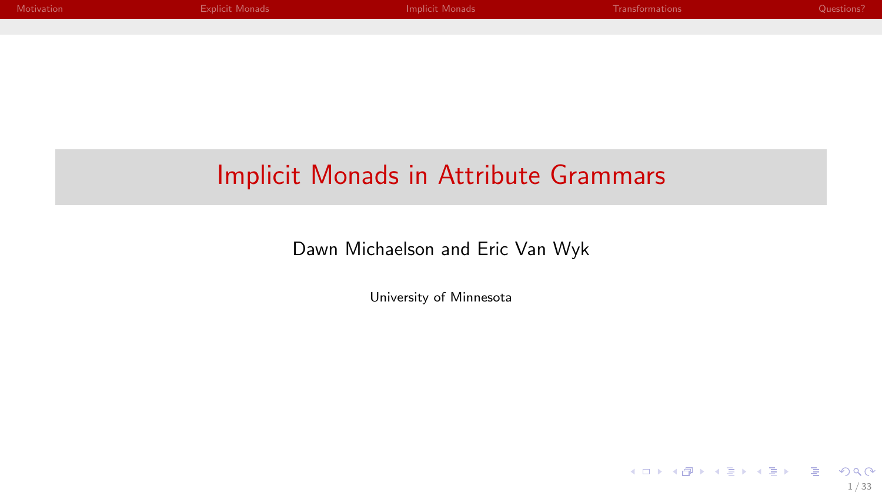| Motivation | <b>Explicit Monads</b> | Implicit Monads | Transformations | Questions? |
|------------|------------------------|-----------------|-----------------|------------|
|            |                        |                 |                 |            |
|            |                        |                 |                 |            |
|            |                        |                 |                 |            |
|            |                        |                 |                 |            |
|            |                        |                 |                 |            |
|            |                        |                 |                 |            |
|            |                        |                 |                 |            |
|            |                        |                 |                 |            |

#### Implicit Monads in Attribute Grammars

Dawn Michaelson and Eric Van Wyk

University of Minnesota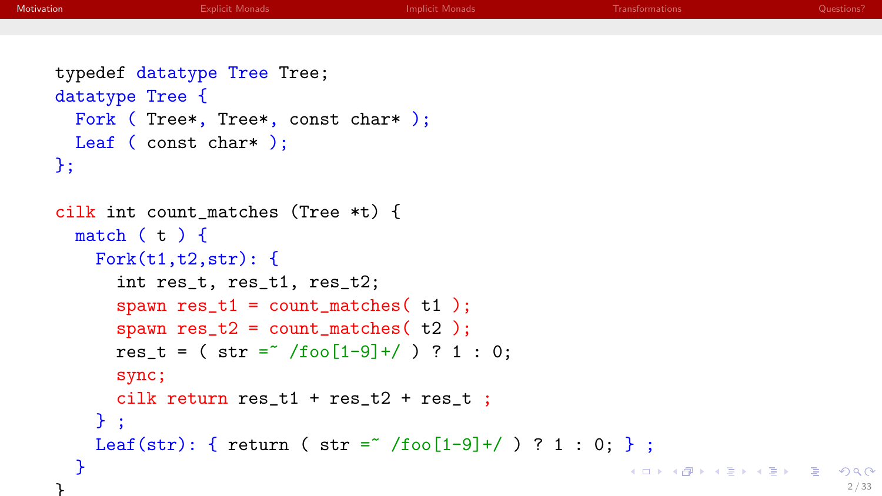```
typedef datatype Tree Tree;
datatype Tree {
  Fork ( Tree*, Tree*, const char* );
 Leaf ( const char* );
\}:
```
}

```
cilk int count_matches (Tree *t) {
 match (t) {
   Fork(t1,t2,str): {
      int res_t, res_t1, res_t2;
      spawn res_t1 = count\_matches( t1 );
      spawn res_t2 = count_matrix (t2);
     res t = ( str = '/foo[1-9]+/ ) ? 1 : 0;
     sync;
      cilk return res_t1 + res_t2 + res_t ;
   } ;
   Leaf(str): { return ( str = / /foo[1-9]+/ ) ? 1 : 0; } ;
  }
                                                         イロメ イ部メ イ君メ イ君メー 君」
```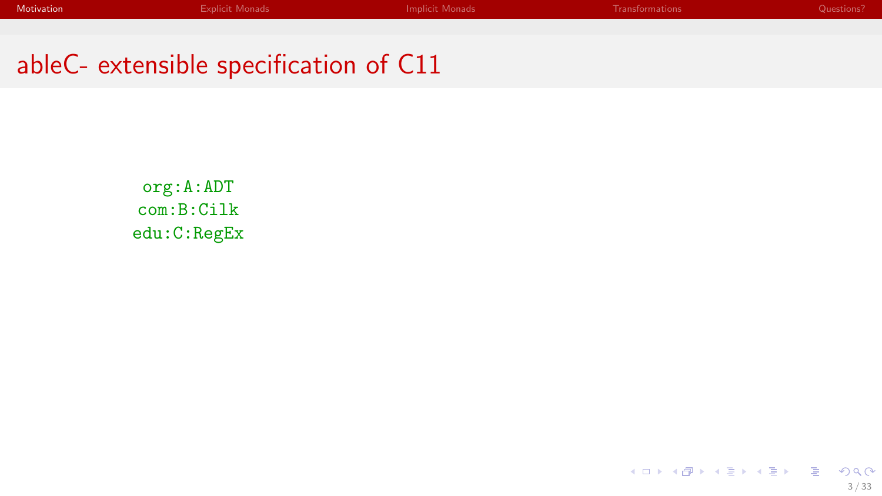org:A:ADT com:B:Cilk edu:C:RegEx

> メロトメ 御 メメ 老人 メモト 一番  $299$ 3 / 33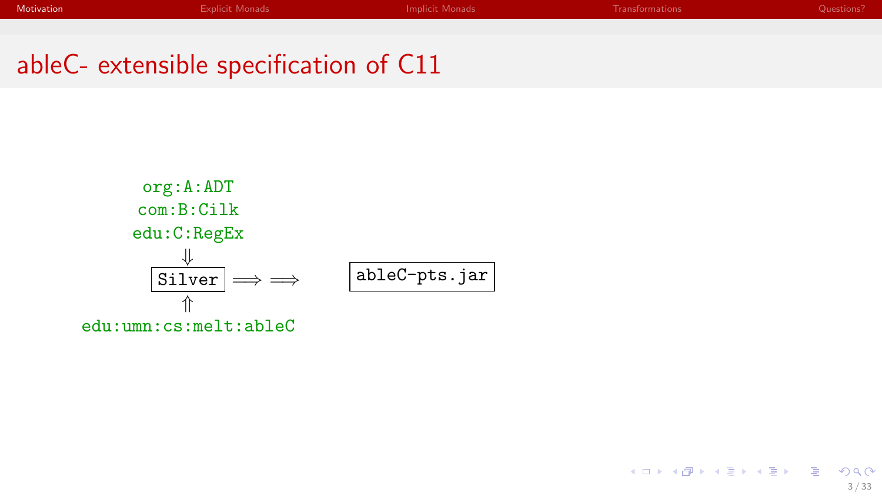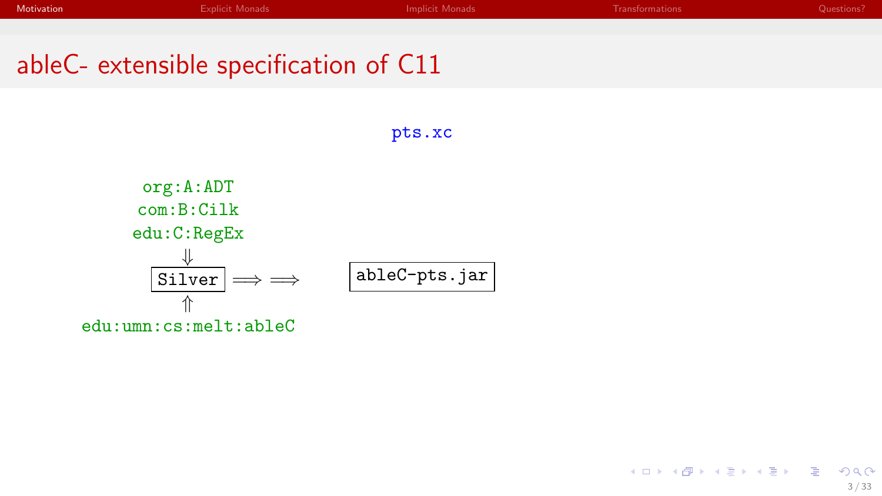pts.xc

# ableC- extensible specification of C11

org:A:ADT com:B:Cilk edu:C:RegEx ⇓  $Silver$  = ⇑ edu:umn:cs:melt:ableC ableC-pts.jar

> メロメ メタメ メミメ メミメン 毛  $2Q$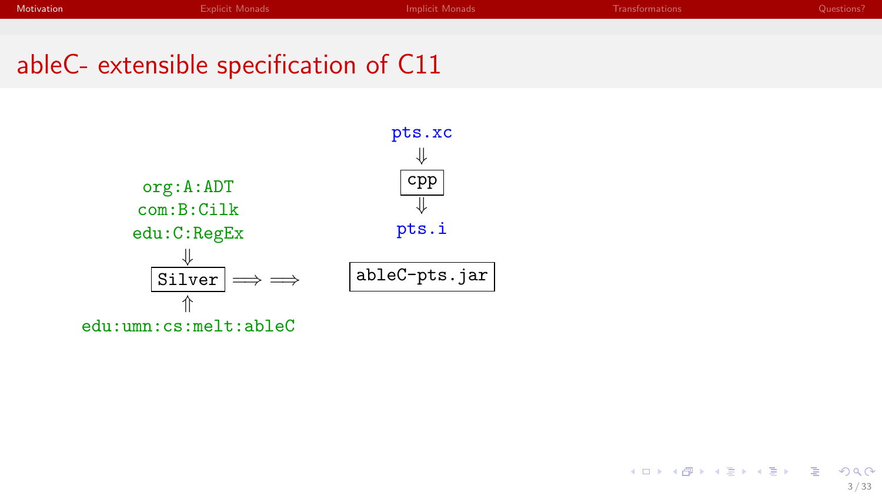| Motivation | <b>Explicit Monads</b> | Implicit Monads | Transformations | Questions? |
|------------|------------------------|-----------------|-----------------|------------|
|------------|------------------------|-----------------|-----------------|------------|

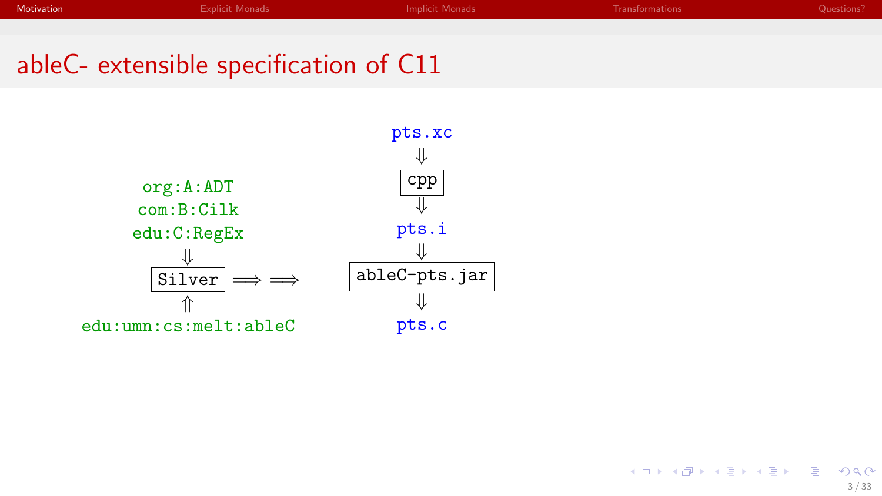| <b>Motivation</b><br><b>Explicit Monads</b><br>Implicit Monads<br>Transformations | Questions? |
|-----------------------------------------------------------------------------------|------------|
|-----------------------------------------------------------------------------------|------------|



メロメ メタメ メミメ メミメン 毛  $2Q$ 

3 / 33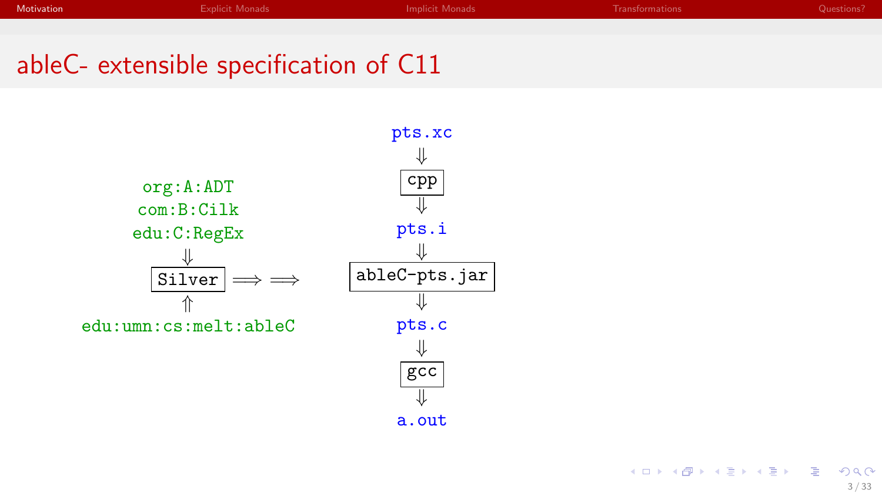

a.out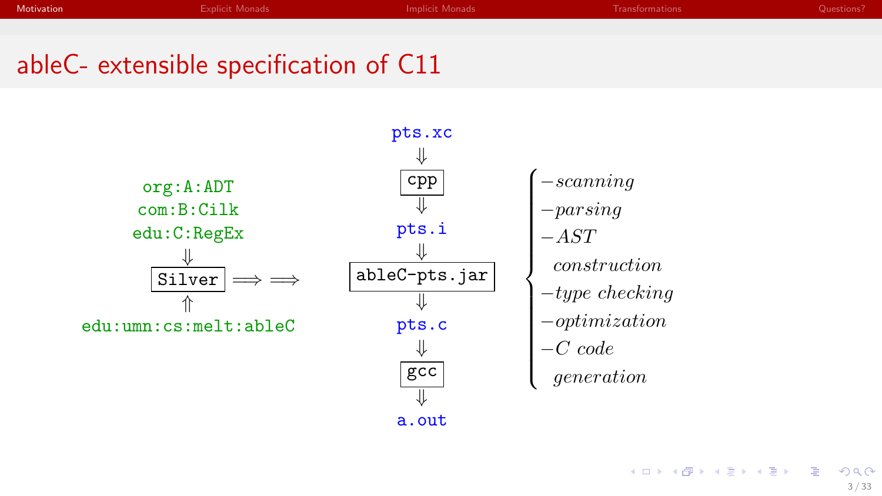

a.out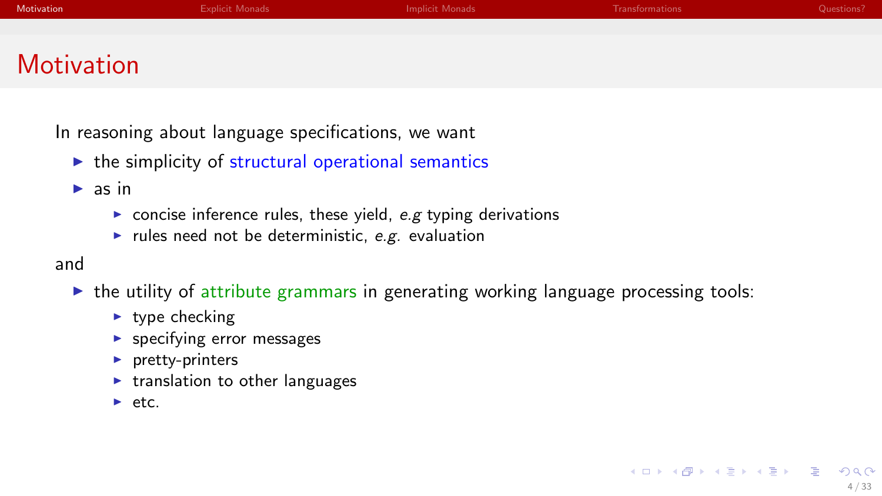|            |  | Transformations | Questions? |
|------------|--|-----------------|------------|
|            |  |                 |            |
| Motivation |  |                 |            |

In reasoning about language specifications, we want

 $\triangleright$  the simplicity of structural operational semantics

 $\triangleright$  as in

- $\triangleright$  concise inference rules, these yield, e.g typing derivations
- rules need not be deterministic, e.g. evaluation

and

- $\triangleright$  the utility of attribute grammars in generating working language processing tools:
	- $\blacktriangleright$  type checking
	- $\blacktriangleright$  specifying error messages
	- $\blacktriangleright$  pretty-printers
	- $\blacktriangleright$  translation to other languages
	- $\rightharpoonup$  etc.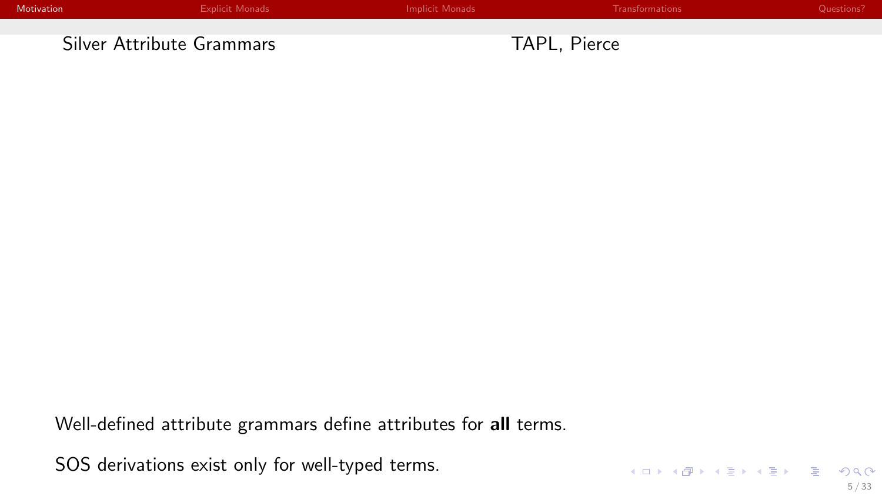| Motivation | Explicit Monads           | <b>Implicit Monads</b> | <b>Transformations</b> | Questions? |
|------------|---------------------------|------------------------|------------------------|------------|
|            |                           |                        |                        |            |
|            | Silver Attribute Grammars |                        | TAPL, Pierce           |            |

Well-defined attribute grammars define attributes for all terms.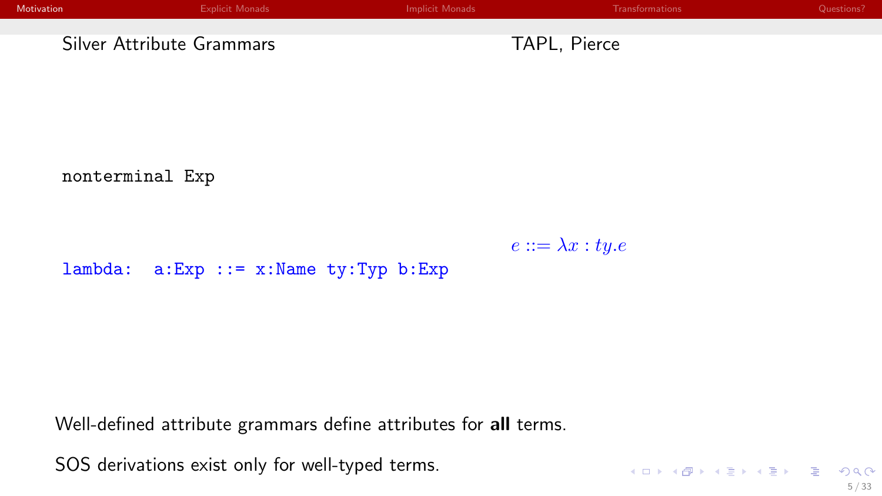| Motivation                | Explicit Monads | Implicit Monads |              | Transformations | Questions? |
|---------------------------|-----------------|-----------------|--------------|-----------------|------------|
|                           |                 |                 |              |                 |            |
| Silver Attribute Grammars |                 |                 | TAPL, Pierce |                 |            |

nonterminal Exp

 $e ::= \lambda x : ty.e$ 

lambda: a:Exp ::= x:Name ty:Typ b:Exp

Well-defined attribute grammars define attributes for all terms.

SOS derivations exist only for well-typed terms.

KOX KOX KEX KEX E 1990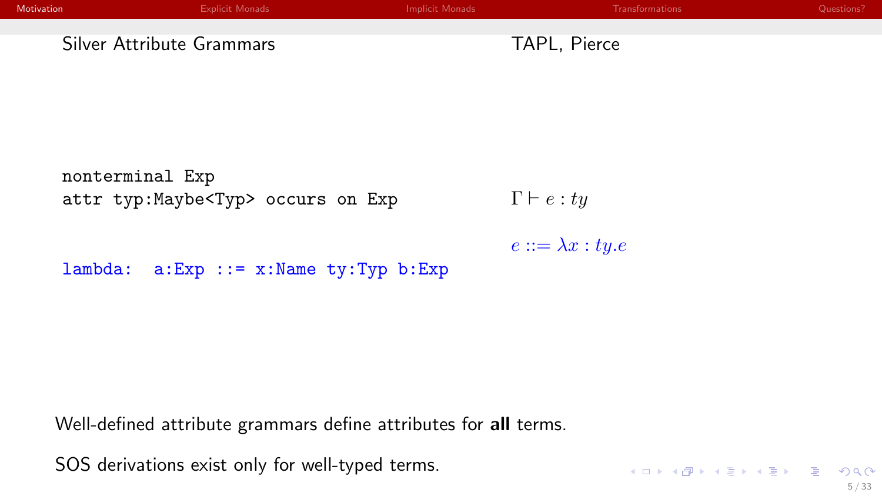| Motivation                | Explicit Monads | Implicit Monads |              | Transformations | Questions? |
|---------------------------|-----------------|-----------------|--------------|-----------------|------------|
|                           |                 |                 |              |                 |            |
| Silver Attribute Grammars |                 |                 | TAPL, Pierce |                 |            |

nonterminal Exp attr typ:Maybe<Typ> occurs on Exp

 $\Gamma \vdash e : ty$ 

 $e ::= \lambda x : ty.e$ 

lambda: a:Exp ::= x:Name ty:Typ b:Exp

Well-defined attribute grammars define attributes for all terms.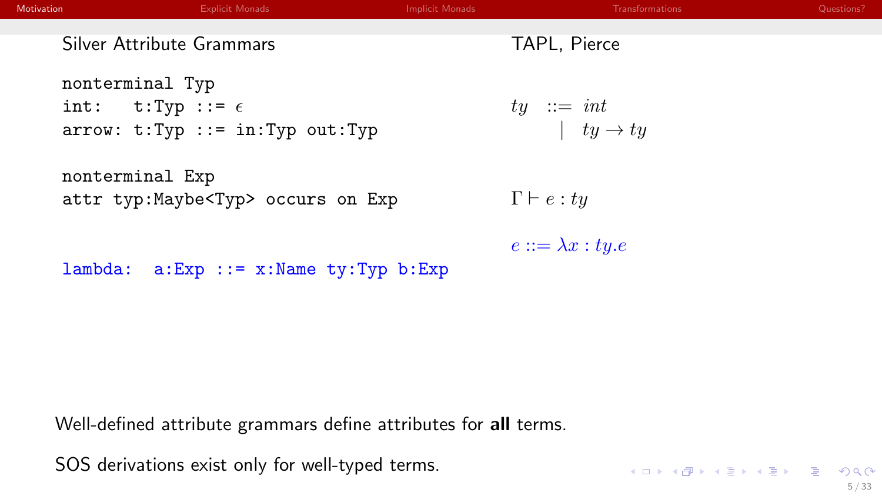| Motivation | <b>Explicit Monads</b>                                                                    | <b>Implicit Monads</b> | <b>Transformations</b>                 | Questions? |
|------------|-------------------------------------------------------------------------------------------|------------------------|----------------------------------------|------------|
|            | Silver Attribute Grammars                                                                 |                        | TAPL, Pierce                           |            |
|            | nonterminal Typ<br>int: $t: Typ ::= \epsilon$<br>$arrow: t: Type :: = in: Type out: Type$ |                        | $ty \ ::= int$<br>$ ty \rightarrow ty$ |            |
|            | nonterminal Exp<br>attr typ: Maybe <typ> occurs on Exp</typ>                              |                        | $\Gamma \vdash e : ty$                 |            |
|            | $a:Exp :: = x:Name ty:Typ b:Exp$<br>lambda:                                               |                        | $e ::= \lambda x : ty.e$               |            |
|            |                                                                                           |                        |                                        |            |

Well-defined attribute grammars define attributes for all terms.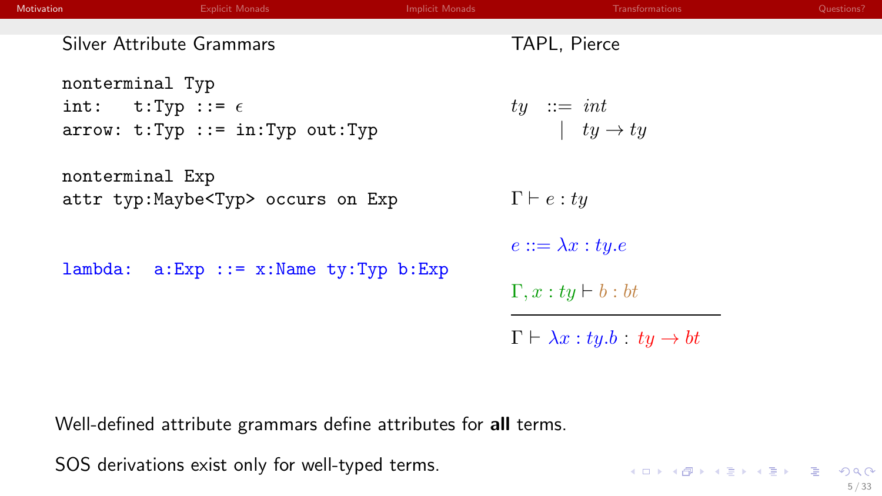| <b>Motivation</b> | <b>Explicit Monads</b>                                                                      | <b>Implicit Monads</b> | Transformations                                      | Questions? |
|-------------------|---------------------------------------------------------------------------------------------|------------------------|------------------------------------------------------|------------|
|                   | Silver Attribute Grammars                                                                   |                        | TAPL, Pierce                                         |            |
|                   | nonterminal Typ<br>int: $t: Type :: = \epsilon$<br>$arrow: t: Type :: = in: Type out: Type$ |                        | $ty \ ::= \ int$<br>$ ty \rightarrow ty$             |            |
|                   | nonterminal Exp<br>attr typ: Maybe <typ> occurs on Exp</typ>                                |                        | $\Gamma\vdash e:ty$                                  |            |
|                   |                                                                                             |                        | $e ::= \lambda x : ty.e$                             |            |
| lambda:           | $a:Exp :: = x:Name \ty:Typ b:Exp$                                                           |                        | $\Gamma, x : ty \vdash b : bt$                       |            |
|                   |                                                                                             |                        | $\Gamma \vdash \lambda x : ty.b : ty \rightarrow bt$ |            |
|                   |                                                                                             |                        |                                                      |            |

KOKK@KKEKKEK E 1990

Well-defined attribute grammars define attributes for all terms.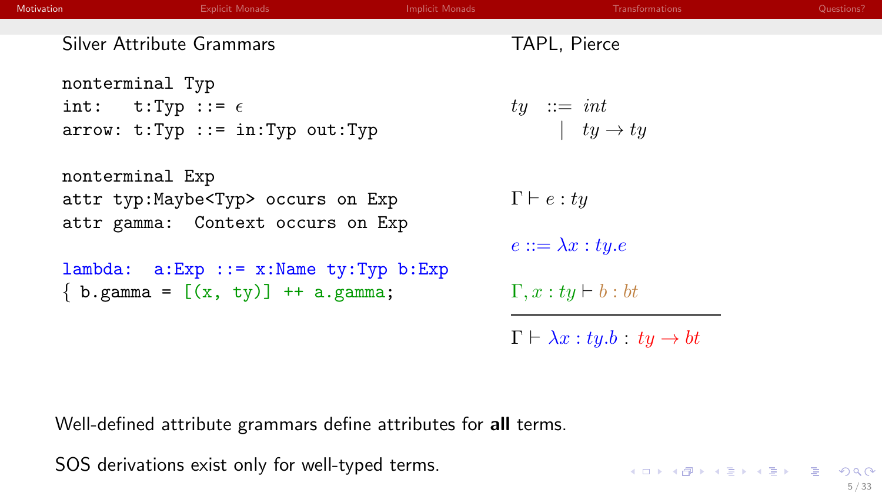| <b>Motivation</b> | <b>Explicit Monads</b>                        | <b>Implicit Monads</b> | Transformations                                      | Questions? |
|-------------------|-----------------------------------------------|------------------------|------------------------------------------------------|------------|
|                   | Silver Attribute Grammars                     |                        | TAPL, Pierce                                         |            |
|                   | nonterminal Typ                               |                        |                                                      |            |
|                   | int: $t: Type :: = \epsilon$                  |                        | $ty \ ::= \ int$                                     |            |
|                   | $arrow: t: Type :: = in: Type out: Type$      |                        | $\vert \quad ty \rightarrow ty$                      |            |
|                   | nonterminal Exp                               |                        |                                                      |            |
|                   | attr typ: Maybe <typ> occurs on Exp</typ>     |                        | $\Gamma \vdash e : tu$                               |            |
|                   | attr gamma: Context occurs on Exp             |                        |                                                      |            |
|                   |                                               |                        | $e ::= \lambda x : tu.e$                             |            |
|                   | $lambda: a: Exp :: = x: Name ty: Type b: Exp$ |                        |                                                      |            |
|                   | $\{b.$ gamma = $[(x, ty)]$ + a.gamma;         |                        | $\Gamma, x : ty \vdash b : bt$                       |            |
|                   |                                               |                        | $\Gamma \vdash \lambda x : ty.b : ty \rightarrow bt$ |            |
|                   |                                               |                        |                                                      |            |

KOKK@KKEKKEK E 1990

Well-defined attribute grammars define attributes for all terms.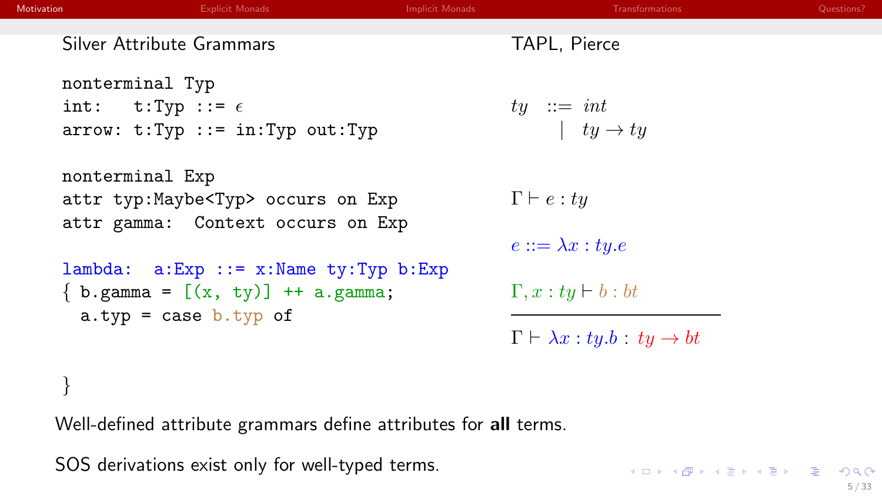| <b>Motivation</b> | <b>Explicit Monads</b>                                                 | <b>Implicit Monads</b> | Transformations                                      | Questions? |
|-------------------|------------------------------------------------------------------------|------------------------|------------------------------------------------------|------------|
|                   | Silver Attribute Grammars                                              |                        | TAPL, Pierce                                         |            |
|                   | nonterminal Typ                                                        |                        |                                                      |            |
|                   | int: $t: Typ ::= \epsilon$<br>$arrow: t: Type :: = in: Type out: Type$ |                        | $ty \ ::= \ int$<br>$ ty \rightarrow ty$             |            |
|                   |                                                                        |                        |                                                      |            |
|                   | nonterminal Exp                                                        |                        |                                                      |            |
|                   | attr typ:Maybe <typ> occurs on Exp</typ>                               |                        | $\Gamma \vdash e : ty$                               |            |
|                   | attr gamma: Context occurs on Exp                                      |                        | $e ::= \lambda x : ty.e$                             |            |
|                   | $lambda: a: Exp :: = x: Name ty: Type b: Exp$                          |                        |                                                      |            |
|                   | $\{ b. gamma = [(x, ty)] + a. gamma;$                                  |                        | $\Gamma, x : ty \vdash b : bt$                       |            |
|                   | a.typ = case $b.typ$ of                                                |                        | $\Gamma \vdash \lambda x : ty.b : ty \rightarrow bt$ |            |
|                   |                                                                        |                        |                                                      |            |
|                   |                                                                        |                        |                                                      |            |

KOKK@KKEKKEK E 1990

Well-defined attribute grammars define attributes for all terms.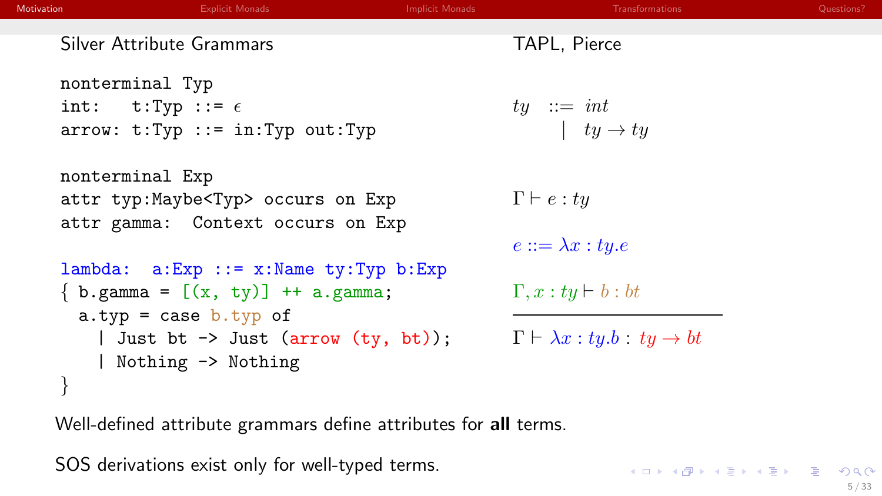| <b>Motivation</b> | <b>Explicit Monads</b>                              | <b>Implicit Monads</b> | Transformations                                      | Questions? |
|-------------------|-----------------------------------------------------|------------------------|------------------------------------------------------|------------|
|                   | Silver Attribute Grammars                           |                        | TAPL, Pierce                                         |            |
|                   | nonterminal Typ                                     |                        |                                                      |            |
|                   | int: $t: Type :: = \epsilon$                        |                        | $ty \ ::= \ int$                                     |            |
|                   | $arrow: t: Type :: = in: Type out: Type$            |                        | $ ty \rightarrow ty$                                 |            |
|                   | nonterminal Exp                                     |                        |                                                      |            |
|                   | attr typ: Maybe <typ> occurs on Exp</typ>           |                        | $\Gamma \vdash e : t\overline{u}$                    |            |
|                   | attr gamma: Context occurs on Exp                   |                        |                                                      |            |
|                   |                                                     |                        | $e ::= \lambda x : ty.e$                             |            |
|                   | $lambda: a: Exp :: = x: Name ty: Type b: Exp$       |                        |                                                      |            |
|                   | $\{ b \text{.gamma} = [(x, ty)] + a \text{.gamma};$ |                        | $\Gamma, x : ty \vdash b : bt$                       |            |
|                   | a.typ = case $b.typ$ of                             |                        |                                                      |            |
|                   | Just bt $\rightarrow$ Just (arrow (ty, bt));        |                        | $\Gamma \vdash \lambda x : ty.b : ty \rightarrow bt$ |            |
|                   | Nothing -> Nothing                                  |                        |                                                      |            |
|                   |                                                     |                        |                                                      |            |

Well-defined attribute grammars define attributes for all terms.

SOS derivations exist only for well-typed terms.

KOKK@KKEKKEK E 1990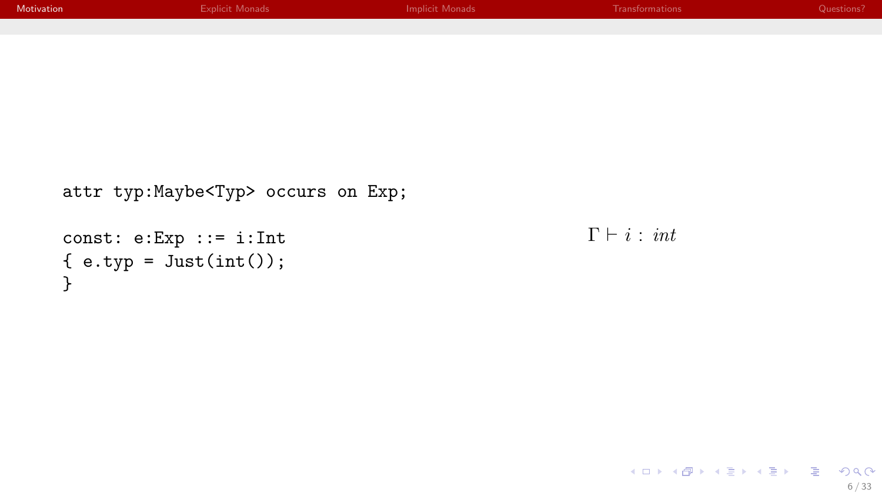| Motivation                   | <b>Explicit Monads</b>                     | <b>Implicit Monads</b> | Transformations         | Questions? |
|------------------------------|--------------------------------------------|------------------------|-------------------------|------------|
|                              |                                            |                        |                         |            |
|                              |                                            |                        |                         |            |
|                              |                                            |                        |                         |            |
|                              |                                            |                        |                         |            |
|                              |                                            |                        |                         |            |
|                              |                                            |                        |                         |            |
|                              |                                            |                        |                         |            |
|                              | attr typ: Maybe <typ> occurs on Exp;</typ> |                        |                         |            |
|                              |                                            |                        |                         |            |
| $const: e:Exp :: = i:Int$    |                                            |                        | $\Gamma \vdash i : int$ |            |
| $\{ e.typ = Just(int()); \}$ |                                            |                        |                         |            |
| ጉ                            |                                            |                        |                         |            |
|                              |                                            |                        |                         |            |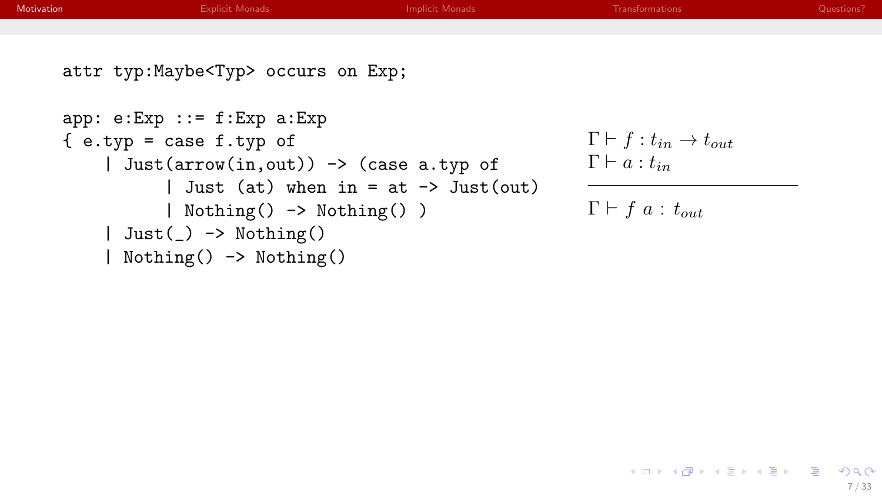| Motivation | <b>Explicit Monads</b>                                     | <b>Implicit Monads</b> | <b>Transformations</b>                         | Questions? |
|------------|------------------------------------------------------------|------------------------|------------------------------------------------|------------|
|            |                                                            |                        |                                                |            |
|            | attr typ: Maybe <typ> occurs on Exp;</typ>                 |                        |                                                |            |
|            | $app: e:Exp :: = f:Exp a:Exp$                              |                        |                                                |            |
|            | $\{ e. typ = case f. typ of$                               |                        | $\Gamma \vdash f : t_{in} \rightarrow t_{out}$ |            |
|            | Just $(\arrow(in,out)) \rightarrow (\text{case a.typ of})$ |                        | $\Gamma\vdash a:t_{in}$                        |            |

| Just (at) when  $in = at \rightarrow$  Just(out)

| Nothing() -> Nothing() )

```
\Gamma \vdash f \ a : t_{out}
```
| Just(\_) -> Nothing() | Nothing() -> Nothing()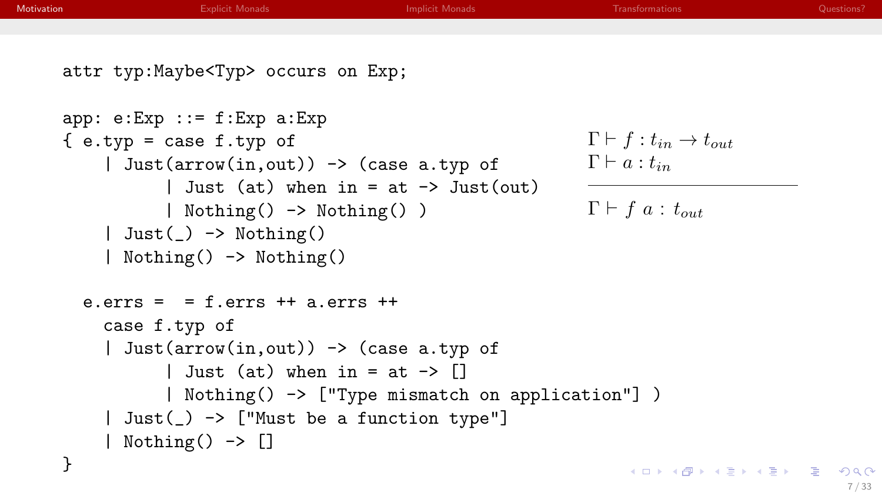```
Motivation Explicit MonadsImplicit MonadsQuestions?
    attr typ:Maybe<Typ> occurs on Exp;
    app: e:Exp ::= f:Exp a:Exp
                                                             \Gamma \vdash f : t_{in} \rightarrow t_{out}\{ e.typ = case f.typ of| Just(arrow(in,out)) -> (case a.typ of
                                                             \Gamma \vdash a : t_{in}| Just (at) when in = at \rightarrow Just(out)
               | Nothing() -> Nothing() )
                                                             \Gamma \vdash f \ a : t_{out}| Just() \rightarrow Nothing()| Nothing() -> Nothing()
      e.errs = = f.errs ++ a.errs ++case f.typ of
         | Just(arrow(in,out)) -> (case a.typ of
               | Just (at) when in = at \rightarrow []
               | Nothing() -> ["Type mismatch on application"] )
         | Just(_) -> ["Must be a function type"]
         | Nothing() -> []
    }
                                                                  メロメ メタメ メミメ メミメー ヨー
                                                                                         2Q
```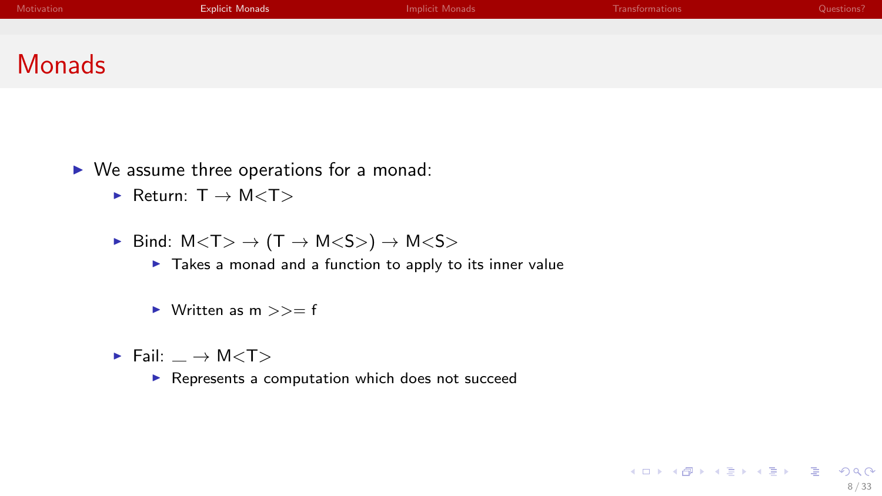<span id="page-21-0"></span>

| Motivation | <b>Explicit Monads</b> | Implicit Monads | Transformations | Questions? |
|------------|------------------------|-----------------|-----------------|------------|
|            |                        |                 |                 |            |
|            |                        |                 |                 |            |
| Monads     |                        |                 |                 |            |

K ロ X x (個) X x を X x を X = 至 → の Q Q →

- $\triangleright$  We assume three operations for a monad:
	- $\blacktriangleright$  Return:  $T \rightarrow M < T >$
	- $\triangleright$  Bind:  $M < T$   $\rightarrow$   $(T \rightarrow M < S$   $\rightarrow$   $M < S$   $\rightarrow$ 
		- $\blacktriangleright$  Takes a monad and a function to apply to its inner value
		- $\triangleright$  Written as m  $>>=$  f
	- $\blacktriangleright$  Fail:  $\implies$  M $\lt$ T $>$ 
		- $\blacktriangleright$  Represents a computation which does not succeed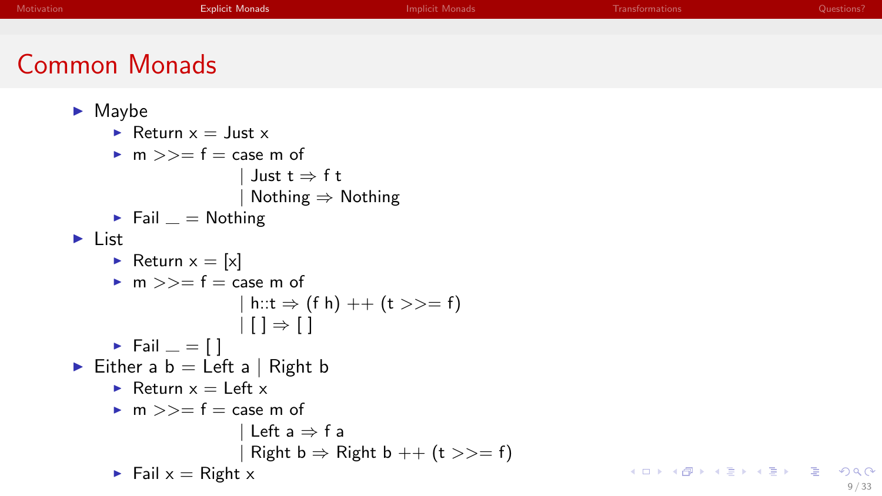| Motivation                                                | <b>Explicit Monads</b>                                                                                                                          | <b>Implicit Monads</b>                       | Transformations           | Questions? |
|-----------------------------------------------------------|-------------------------------------------------------------------------------------------------------------------------------------------------|----------------------------------------------|---------------------------|------------|
|                                                           |                                                                                                                                                 |                                              |                           |            |
|                                                           | <b>Common Monads</b>                                                                                                                            |                                              |                           |            |
| $\blacktriangleright$ Maybe<br>$\blacktriangleright$ List | Return $x = \text{Just } x$<br>• m $>>= f = \case m$ of<br>Just $t \Rightarrow f t$<br>Nothing $\Rightarrow$ Nothing<br>Fail $=$ Nothing        |                                              |                           |            |
|                                                           | Return $x = [x]$<br>• $m \gg f = \text{case } m$ of                                                                                             |                                              |                           |            |
|                                                           | h::t $\Rightarrow$ (f h) ++ (t >>= f)<br>$\lfloor \cdot \rfloor \rfloor \Rightarrow \lfloor \cdot \rfloor$<br>$\triangleright$ Fail $\equiv$ [] |                                              |                           |            |
|                                                           | Either a $b = \text{Left } a \mid \text{Right } b$                                                                                              |                                              |                           |            |
|                                                           | Return $x =$ Left x                                                                                                                             |                                              |                           |            |
|                                                           | • m $>>= f = \text{case m of}$<br>Left $a \Rightarrow f a$                                                                                      | Right $b \Rightarrow$ Right $b$ ++ (t >>= f) |                           |            |
|                                                           | $\blacktriangleright$ Fail $x =$ Right x                                                                                                        |                                              | イロト (母) (ミ) (ミ) (ミ) ミーの女の |            |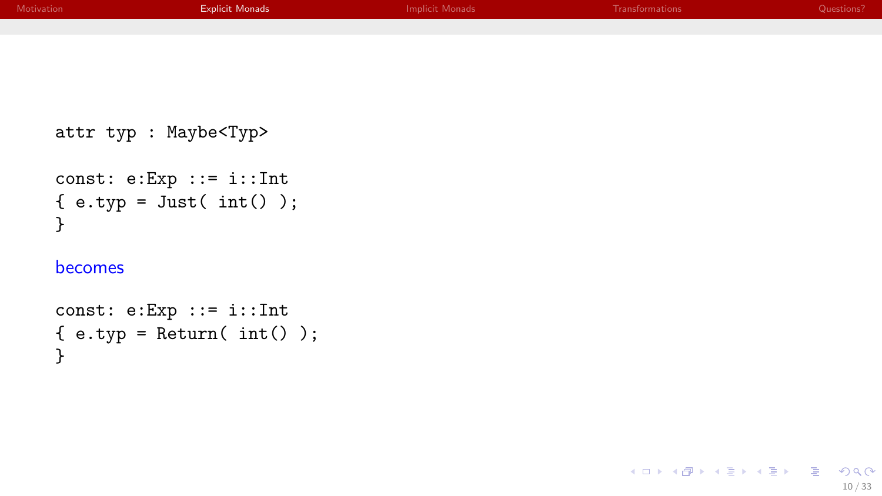| Motivation | <b>Explicit Monads</b> | <b>Implicit Monads</b> | Transformations | Questions? |
|------------|------------------------|------------------------|-----------------|------------|
|            |                        |                        |                 |            |
|            |                        |                        |                 |            |
|            |                        |                        |                 |            |

```
attr typ : Maybe<Typ>
```

```
const: e:Exp ::= i::Int
\{ e.typ = Just(int()) ;}
```
#### becomes

```
const: e:Exp ::= i::Int
{e.typ = Return(int())};}
```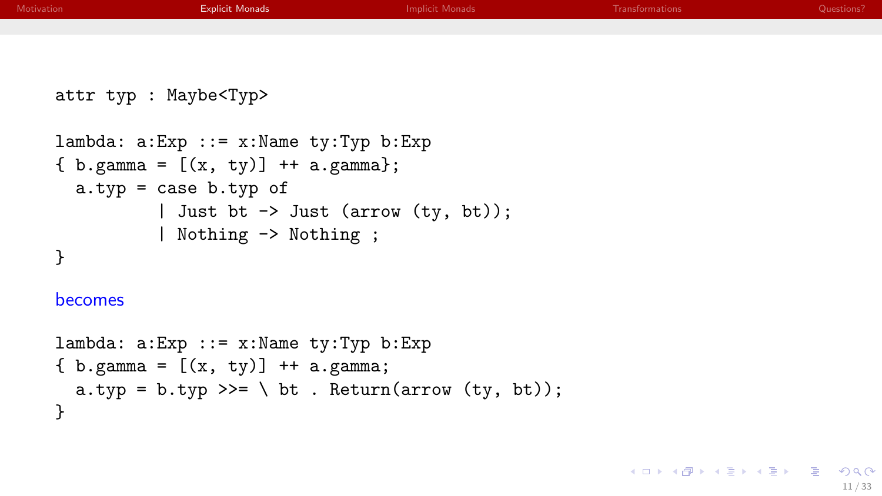| Motivation | <b>Explicit Monads</b>                                                                    | <b>Implicit Monads</b> | Transformations | Questions? |
|------------|-------------------------------------------------------------------------------------------|------------------------|-----------------|------------|
|            |                                                                                           |                        |                 |            |
|            | attr typ : Maybe <typ></typ>                                                              |                        |                 |            |
|            | $lambda: a: Exp :: = x: Name ty: Type b: Exp$<br>{ $b.$ gamma = $[(x, ty)]$ + + a.gamma}; |                        |                 |            |
|            | a.typ = case $b.$ typ of                                                                  |                        |                 |            |
|            | Just bt $\rightarrow$ Just (arrow (ty, bt));<br>  Nothing -> Nothing ;                    |                        |                 |            |
|            |                                                                                           |                        |                 |            |
| becomes    |                                                                                           |                        |                 |            |
|            | lambda: a:Exp ::= x:Name tv:Tvp b:Exp                                                     |                        |                 |            |

```
lambda: a:Exp ::= x:Name ty:Typ b:Exp
{ b. gamma = [(x, ty)] + + a. gamma;
  a.typ = b.typ \gg = \ \ bt . Return(arrow (ty, bt));
}
```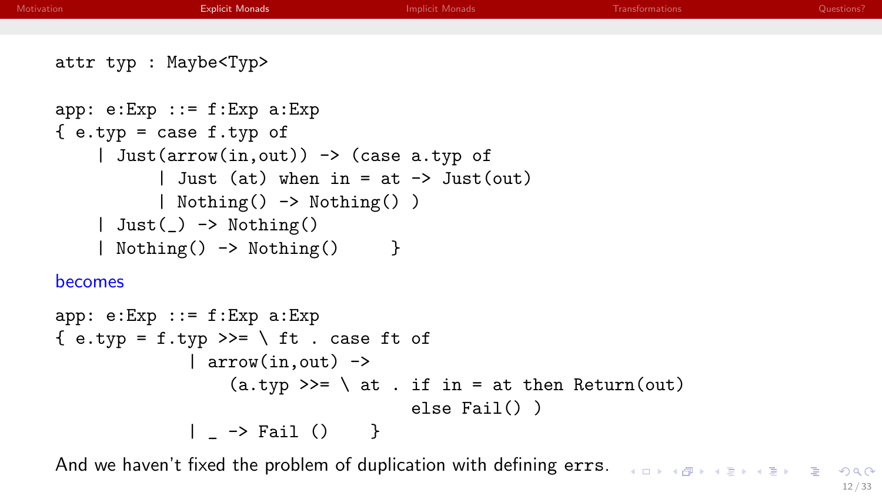| Motivation     | <b>Explicit Monads</b>                                   | <b>Implicit Monads</b> | Transformations | Questions? |
|----------------|----------------------------------------------------------|------------------------|-----------------|------------|
|                |                                                          |                        |                 |            |
|                | attr typ : Maybe <typ></typ>                             |                        |                 |            |
|                | $app: e: Exp :: = f: Exp a: Exp$                         |                        |                 |            |
|                | $\{ e.typ = case f.typ of$                               |                        |                 |            |
|                | Just(arrow(in, out)) $\rightarrow$ (case a.typ of        |                        |                 |            |
|                | Just (at) when in = at $\rightarrow$ Just(out)           |                        |                 |            |
|                | Nothing() -> Nothing() )                                 |                        |                 |            |
|                | $\vert$ Just( $\vert$ ) -> Nothing()                     |                        |                 |            |
|                | Nothing() -> Nothing()<br>$\overline{\phantom{a}}$       |                        |                 |            |
| <b>becomes</b> |                                                          |                        |                 |            |
|                | $app: e:Exp :: = f:Exp a:Exp$                            |                        |                 |            |
|                | { e.typ = f.typ >>= \ ft . case ft of                    |                        |                 |            |
|                | $ arrow(in,out)$ ->                                      |                        |                 |            |
|                | $(a.typ \gg= \setminus at . if in = at then Return(out)$ |                        |                 |            |
|                |                                                          | else $fail() )$        |                 |            |
|                | _ -> Fail () }                                           |                        |                 |            |
|                |                                                          |                        |                 |            |

And we haven't fixed the problem of duplication with defining errs.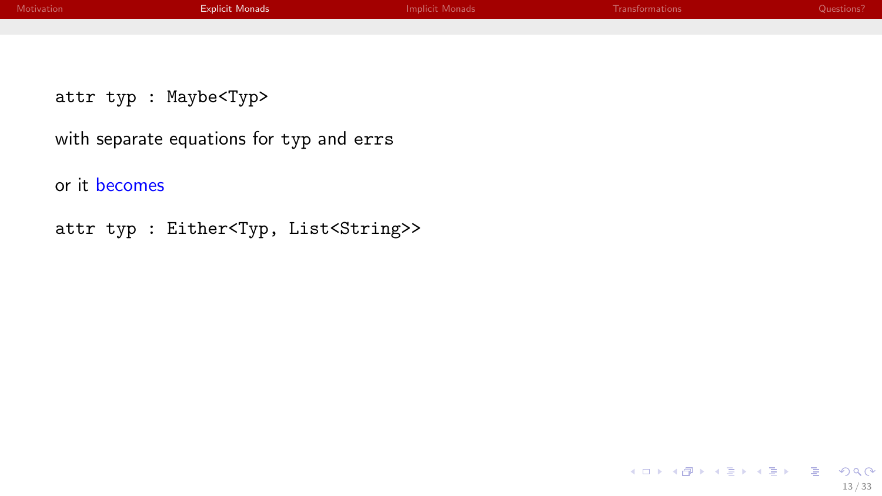| Motivation | <b>Explicit Monads</b>                   | <b>Implicit Monads</b> | Transformations | Questions? |
|------------|------------------------------------------|------------------------|-----------------|------------|
|            |                                          |                        |                 |            |
|            |                                          |                        |                 |            |
|            | attr typ : Maybe <typ></typ>             |                        |                 |            |
|            | with separate equations for typ and errs |                        |                 |            |
|            | or it becomes                            |                        |                 |            |

```
attr typ : Either<Typ, List<String>>
```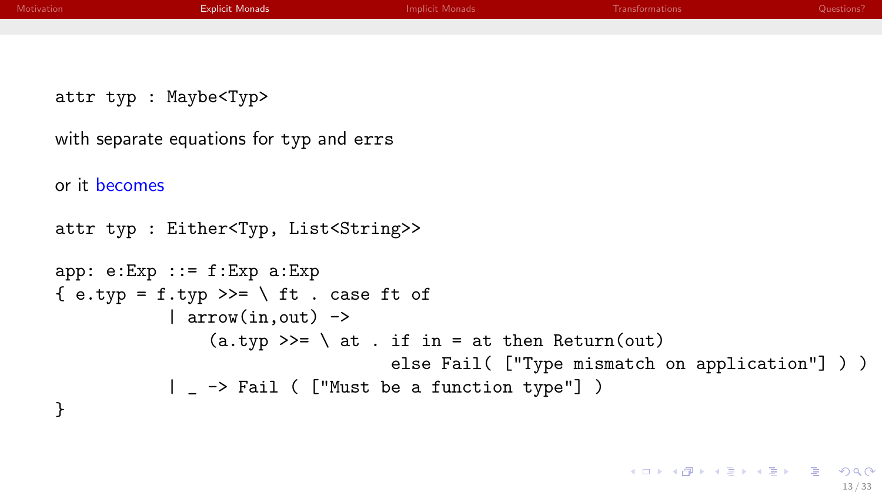| Motivation    | <b>Explicit Monads</b>                             | <b>Implicit Monads</b>                                   | <b>Transformations</b>                          | Questions? |
|---------------|----------------------------------------------------|----------------------------------------------------------|-------------------------------------------------|------------|
|               |                                                    |                                                          |                                                 |            |
|               |                                                    |                                                          |                                                 |            |
|               | attr typ : Maybe <typ></typ>                       |                                                          |                                                 |            |
|               | with separate equations for typ and errs           |                                                          |                                                 |            |
| or it becomes |                                                    |                                                          |                                                 |            |
|               | attr typ : Either <typ, list<string="">&gt;</typ,> |                                                          |                                                 |            |
|               | $app: e:Exp :: = f:Exp a:Exp$                      |                                                          |                                                 |            |
|               | { e.typ = f.typ >>= \ ft . case ft of              |                                                          |                                                 |            |
|               | $ arrow(in,out)$ ->                                |                                                          |                                                 |            |
|               |                                                    | $(a.typ \gg= \setminus at . if in = at then Return(out)$ |                                                 |            |
|               |                                                    |                                                          | else Fail( ["Type mismatch on application"] ) ) |            |
|               |                                                    |                                                          |                                                 |            |
|               |                                                    |                                                          |                                                 |            |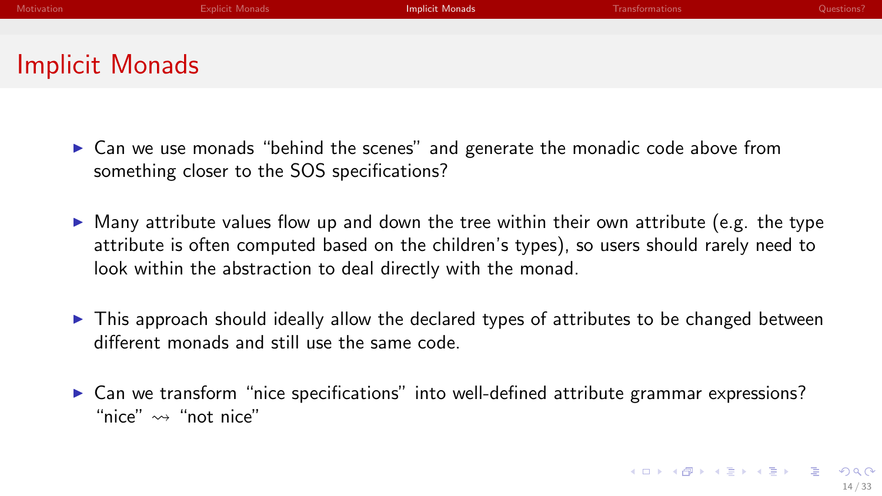<span id="page-28-0"></span>

| Motivation      | <b>Explicit Monads</b> | <b>Implicit Monads</b> | Transformations | Questions? |
|-----------------|------------------------|------------------------|-----------------|------------|
|                 |                        |                        |                 |            |
| Implicit Monads |                        |                        |                 |            |

- $\triangleright$  Can we use monads "behind the scenes" and generate the monadic code above from something closer to the SOS specifications?
- $\triangleright$  Many attribute values flow up and down the tree within their own attribute (e.g. the type attribute is often computed based on the children's types), so users should rarely need to look within the abstraction to deal directly with the monad.
- $\triangleright$  This approach should ideally allow the declared types of attributes to be changed between different monads and still use the same code.
- $\triangleright$  Can we transform "nice specifications" into well-defined attribute grammar expressions? "nice"  $\rightsquigarrow$  "not nice"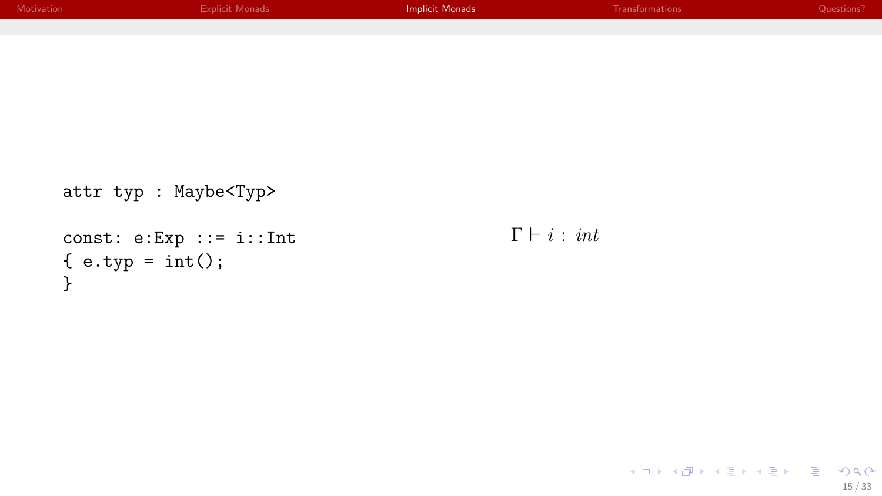| <b>Explicit Monads</b> | Implicit Monads | Transformations | Questions? |
|------------------------|-----------------|-----------------|------------|
|                        |                 |                 |            |
|                        |                 |                 |            |
|                        |                 |                 |            |
|                        |                 |                 |            |
|                        |                 |                 |            |
|                        |                 |                 |            |

```
attr typ : Maybe<Typ>
const: e:Exp ::= i::Int
{e.typ = int();}}
```
 $\Gamma \vdash i : \textit{int}$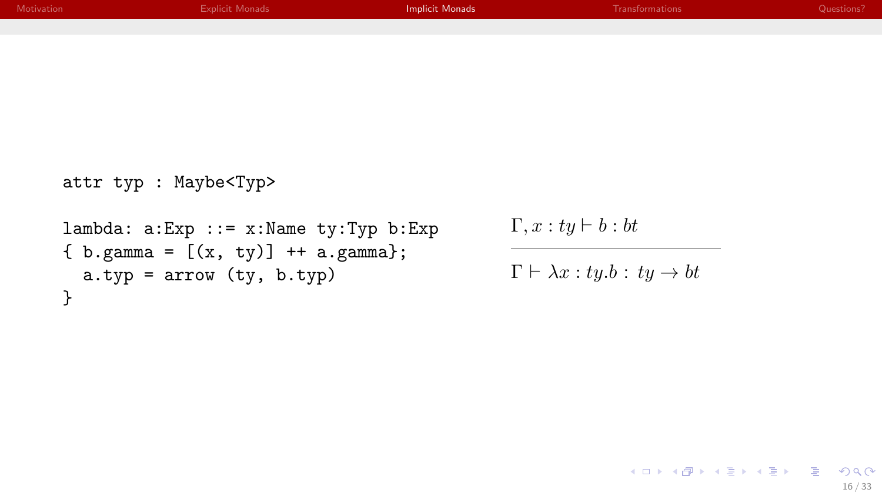| Motivation | <b>Explicit Monads</b> | Implicit Monads | <b>Transformations</b> | Questions? |
|------------|------------------------|-----------------|------------------------|------------|
|            |                        |                 |                        |            |

```
attr typ : Maybe<Typ>
```

```
lambda: a:Exp ::= x:Name ty:Typ b:Exp
{ b. gamma = [(x, ty)] + + a. gamma};
 a.typ = arrow (ty, b.typ)}
```
 $\Gamma, x : ty \vdash b : bt$ 

```
\Gamma \vdash \lambda x : ty.b : ty \rightarrow bt
```

```
メロメ メ御 メメきメ メきメー きっ
                     2Q16 / 33
```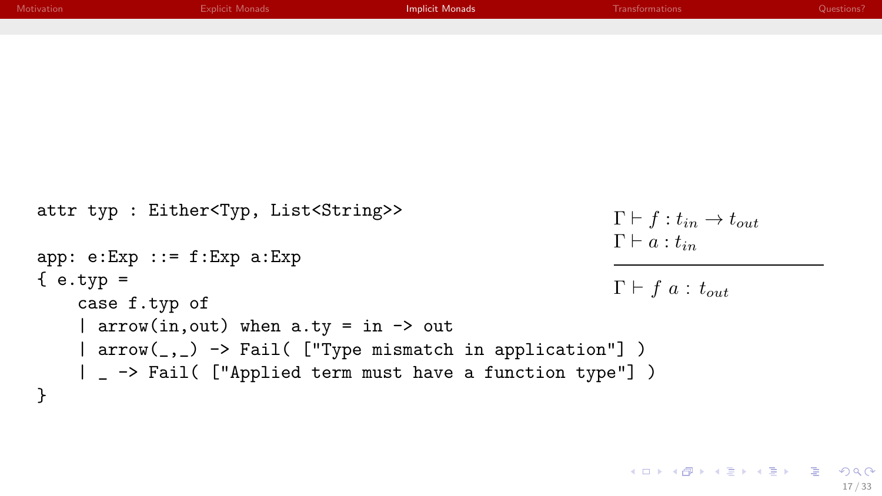| Motivation  | <b>Explicit Monads</b>                                  | <b>Implicit Monads</b> | Transformations                                | Questions? |
|-------------|---------------------------------------------------------|------------------------|------------------------------------------------|------------|
|             |                                                         |                        |                                                |            |
|             |                                                         |                        |                                                |            |
|             |                                                         |                        |                                                |            |
|             |                                                         |                        |                                                |            |
|             |                                                         |                        |                                                |            |
|             |                                                         |                        |                                                |            |
|             |                                                         |                        |                                                |            |
|             |                                                         |                        |                                                |            |
|             |                                                         |                        |                                                |            |
|             | attr typ : Either <typ, list<string="">&gt;</typ,>      |                        | $\Gamma \vdash f : t_{in} \rightarrow t_{out}$ |            |
|             |                                                         |                        | $\Gamma\vdash a:t_{in}$                        |            |
|             | $app: e: Exp :: = f: Exp a: Exp$                        |                        |                                                |            |
| $\{e.typ =$ |                                                         |                        |                                                |            |
|             | case f.typ of                                           |                        | $\Gamma \vdash f \ a : t_{out}$                |            |
|             | $\vert$ arrow(in, out) when a.ty = in -> out            |                        |                                                |            |
|             |                                                         |                        |                                                |            |
|             | arrow(_,_) -> Fail( ["Type mismatch in application"] )  |                        |                                                |            |
|             | _ -> Fail( ["Applied term must have a function type"] ) |                        |                                                |            |

}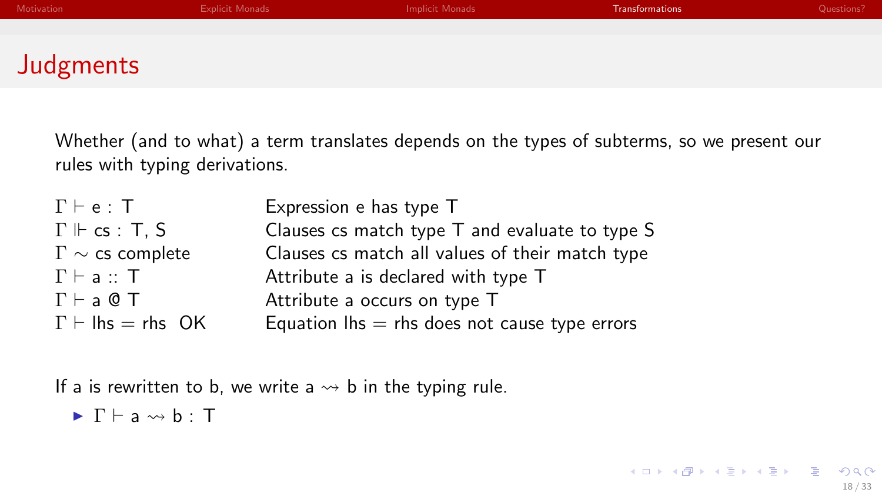<span id="page-32-0"></span>

| Motivation       | <b>Explicit Monads</b> | Implicit Monads | Transformations | Questions? |
|------------------|------------------------|-----------------|-----------------|------------|
|                  |                        |                 |                 |            |
|                  |                        |                 |                 |            |
| <b>Judgments</b> |                        |                 |                 |            |

Whether (and to what) a term translates depends on the types of subterms, so we present our rules with typing derivations.

| $\Gamma \vdash e : T$        | Expression e has type T                                           |
|------------------------------|-------------------------------------------------------------------|
| $\Gamma \Vdash cs : T, S$    | Clauses $cs$ match type $T$ and evaluate to type $S$              |
| $\Gamma \sim$ cs complete    | Clauses cs match all values of their match type                   |
| $\Gamma \vdash a :: T$       | Attribute a is declared with type T                               |
| $\Gamma \vdash a \& \top$    | Attribute a occurs on type T                                      |
| $\Gamma \vdash$ lhs = rhs OK | Equation $\mathsf{Ins} = \mathsf{rhs}$ does not cause type errors |

If a is rewritten to b, we write a  $\rightarrow$  b in the typing rule.

$$
\blacktriangleright \Gamma \vdash a \leadsto b : T
$$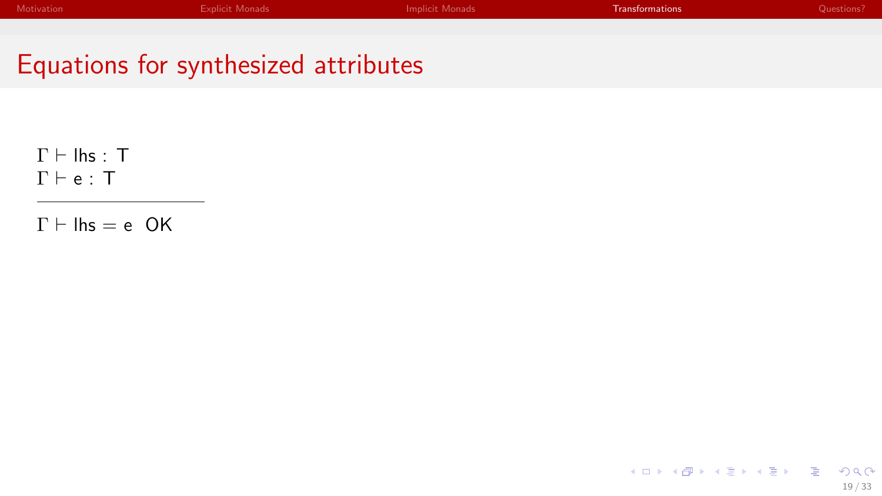#### Equations for synthesized attributes

 $\Gamma \vdash$  lhs : T  $\Gamma \vdash e : T$ 

 $\Gamma \vdash \mathsf{lhs} = e \ \mathsf{OK}$ 

メロメ メタメ メミメ メミメー ヨー  $2990$ 19 / 33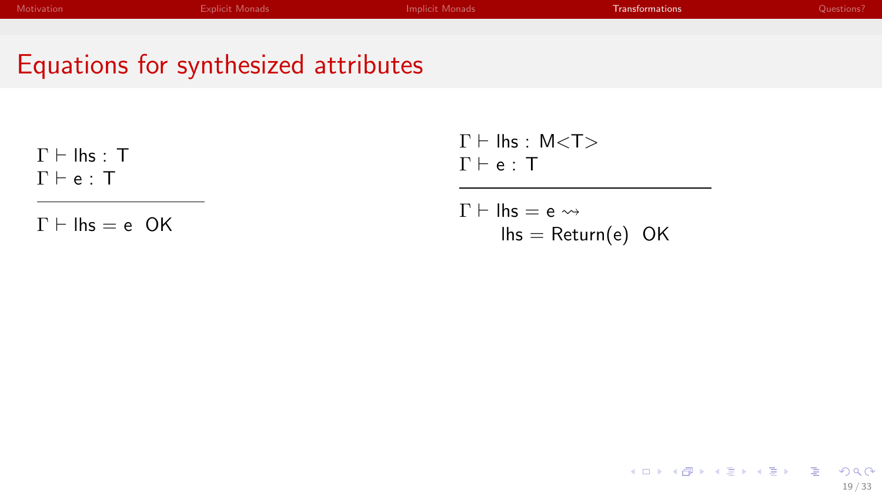| Motivation | <b>Explicit Monads</b> | Implicit Monads | <b>Transformations</b> | Questions? |
|------------|------------------------|-----------------|------------------------|------------|
|            |                        |                 |                        |            |
|            |                        |                 |                        |            |

#### Equations for synthesized attributes

 $\Gamma \vdash$  lhs : T  $\Gamma \vdash e : T$ 

 $\Gamma \vdash \mathsf{lhs} = e \ \mathsf{OK}$ 

 $\Gamma \vdash$  lhs : M<T>  $\Gamma \vdash e : T$ 

$$
\Gamma \vdash \mathsf{lhs} = \mathsf{e} \leadsto
$$
  

$$
\mathsf{lhs} = \mathsf{Return}(\mathsf{e}) \ \mathsf{OK}
$$

メロトメ 御 トメ 君 トメ 君 トッ 君  $2Q$ 19 / 33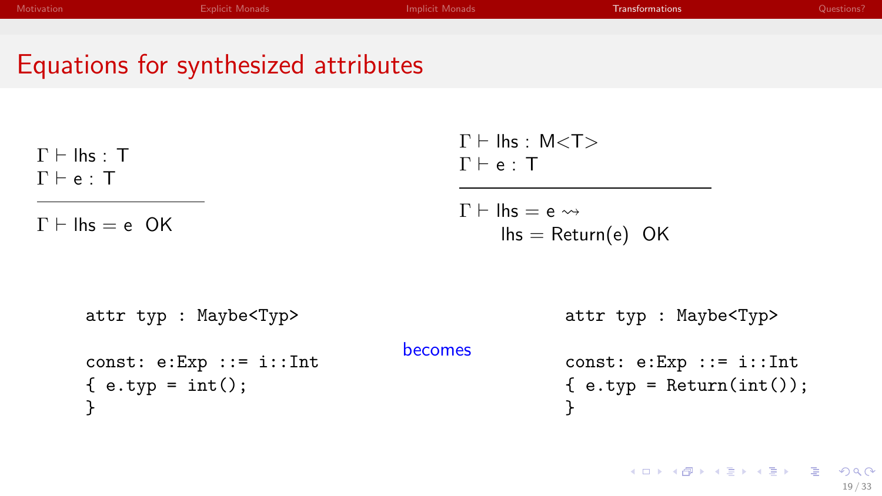| Motivation | <b>Explicit Monads</b>               | <b>Implicit Monads</b>          | <b>Transformations</b> | Questions? |
|------------|--------------------------------------|---------------------------------|------------------------|------------|
|            |                                      |                                 |                        |            |
|            | Equations for synthesized attributes |                                 |                        |            |
|            |                                      |                                 |                        |            |
| .<br>__    |                                      | $\Gamma \vdash$ lhs : M <t></t> |                        |            |

| $\Gamma \vdash \mathsf{Ins} : \mathsf{T}$<br>$\Gamma \vdash e : T$ | $\Gamma \vdash e : T$ | $1 \sqsubset \mathsf{III}$ $\triangleright$ . IVI $\lt\downarrow$ $\gt$                         |
|--------------------------------------------------------------------|-----------------------|-------------------------------------------------------------------------------------------------|
| $\Gamma \vdash \mathsf{Ins} = e$ OK                                |                       | $\Gamma \vdash \mathsf{Ins} = e \leadsto$<br>$\mathsf{Ins} = \mathsf{Return}(e) \; \mathsf{OK}$ |
| attr typ : Maybe <typ></typ>                                       |                       | attr typ : Maybe <typ></typ>                                                                    |
| const: $e:Exp :: = i::Int$<br>$\{ e.typ = int() \}$                | becomes               | const: $e:Exp :: = i::Int$<br>$\{ e.typ = Return(int()) \}$                                     |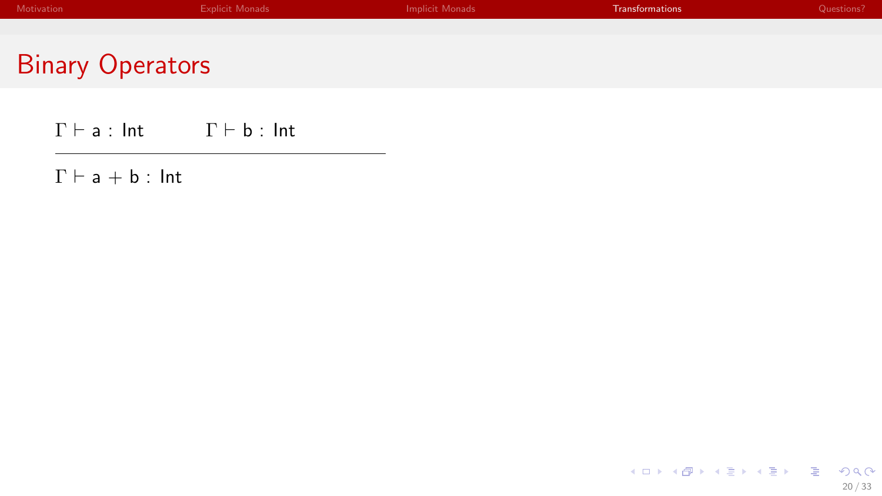| Motivation              | <b>Explicit Monads</b> | Implicit Monads | <b>Transformations</b> | Questions? |
|-------------------------|------------------------|-----------------|------------------------|------------|
|                         |                        |                 |                        |            |
| <b>Binary Operators</b> |                        |                 |                        |            |

 $\Gamma \vdash \mathsf{a} : \mathsf{Int}$   $\Gamma \vdash \mathsf{b} : \mathsf{Int}$ 

 $\Gamma \vdash a + b : \mathsf{Int}$ 

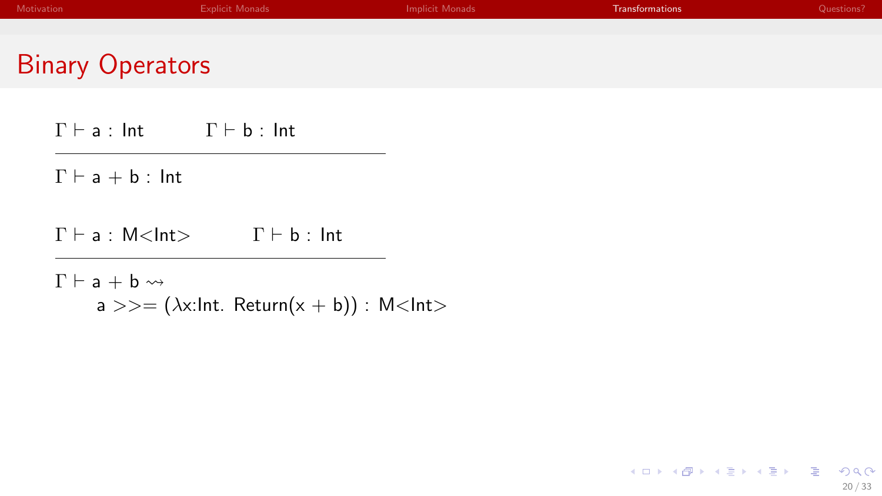| Motivation              | <b>Explicit Monads</b> | Implicit Monads | <b>Transformations</b> | Questions? |
|-------------------------|------------------------|-----------------|------------------------|------------|
|                         |                        |                 |                        |            |
| <b>Binary Operators</b> |                        |                 |                        |            |

 $\Gamma \vdash a : \mathsf{Int}$   $\Gamma \vdash b : \mathsf{Int}$ 

 $\Gamma \vdash a + b : \mathsf{Int}$ 

 $\Gamma \vdash a : M \leq Int$   $\Gamma \vdash b : Int$ 

 $\Gamma \vdash a + b \leadsto$ a >>=  $(\lambda x: Int.$  Return $(x + b))$  : M<Int>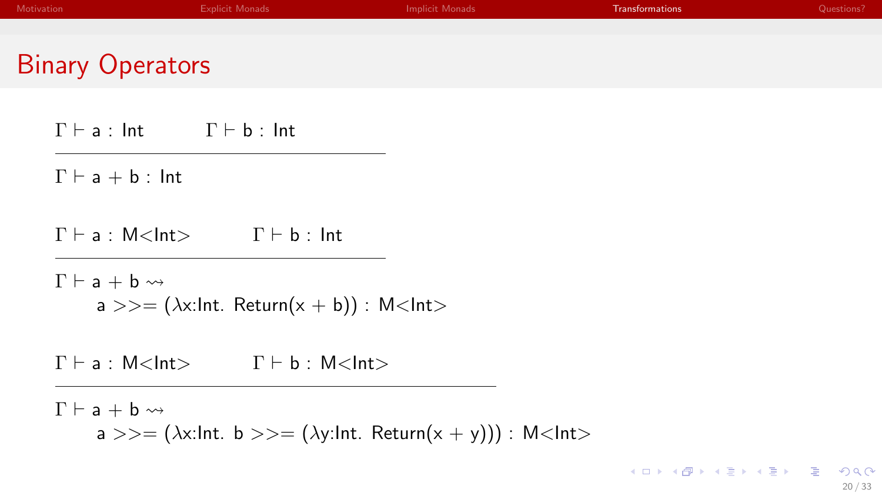| Motivation              | <b>Explicit Monads</b> | Implicit Monads | <b>Transformations</b> | Questions? |
|-------------------------|------------------------|-----------------|------------------------|------------|
|                         |                        |                 |                        |            |
| <b>Binary Operators</b> |                        |                 |                        |            |

 $\Gamma \vdash a : \mathsf{Int}$   $\Gamma \vdash b : \mathsf{Int}$ 

 $\Gamma \vdash a + b : \mathsf{Int}$ 

 $\Gamma \vdash a : M < \mathsf{Int} > \Gamma \vdash b : \mathsf{Int}$ 

 $\Gamma \vdash a + b \leadsto$  $a \gg = (\lambda x: Int. Return(x + b)) : M < Int >$ 

 $\Gamma \vdash a : M$  < Int >  $\Gamma \vdash b : M$  < Int >

 $\Gamma \vdash a + b \leadsto$ a >>=  $(\lambda x: Int. b \gt \gt = (\lambda y: Int. Return(x + y))) : M < Int>$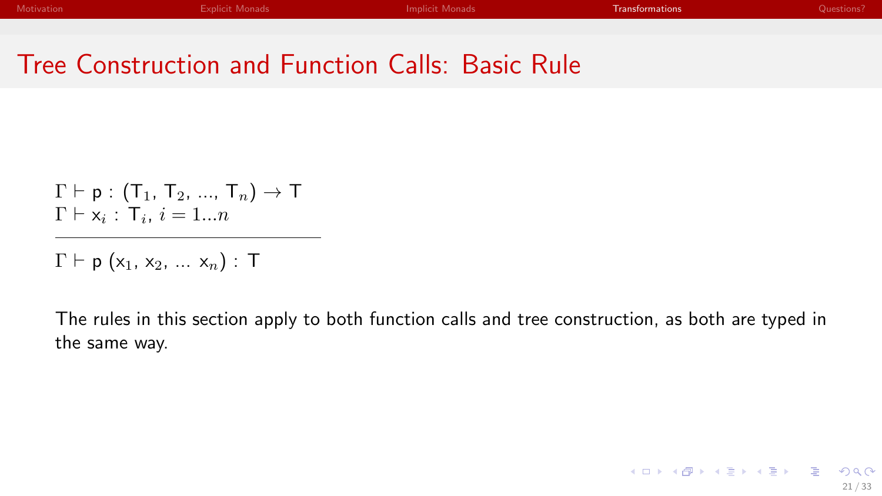#### Tree Construction and Function Calls: Basic Rule

$$
\Gamma \vdash p : (T_1, T_2, ..., T_n) \to T
$$
  

$$
\Gamma \vdash x_i : T_i, i = 1...n
$$

 $\Gamma \vdash p$  (x<sub>1</sub>, x<sub>2</sub>, ... x<sub>n</sub>) : T

The rules in this section apply to both function calls and tree construction, as both are typed in the same way.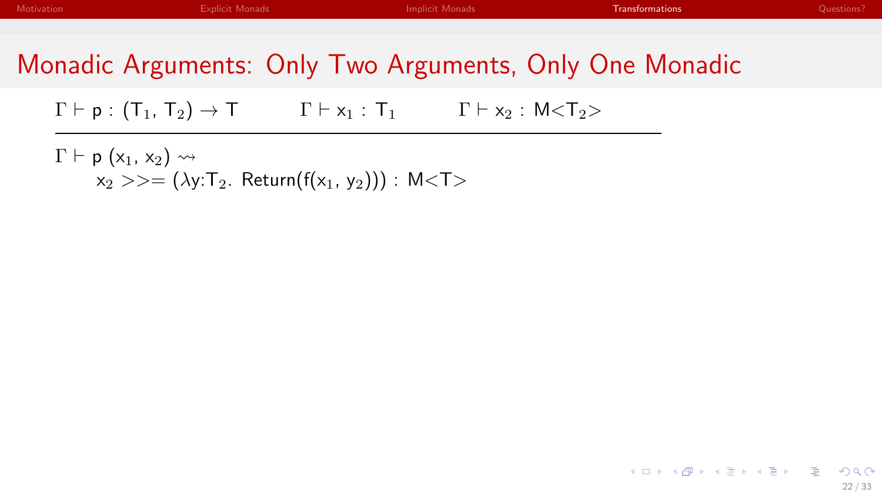#### Monadic Arguments: Only Two Arguments, Only One Monadic

 $\Gamma \vdash p : (T_1, T_2) \rightarrow T$   $\Gamma \vdash x_1 : T_1$   $\Gamma \vdash x_2 : M < T_2$ 

 $\Gamma \vdash p (x_1, x_2) \rightsquigarrow$  $x_2 \gg = (\lambda y \cdot T_2)$ . Return(f(x<sub>1</sub>, y<sub>2</sub>))) : M<T>

> K ロ ▶ K 御 ▶ K 聖 ▶ K 聖 ▶ │ 聖 │ 約९ @ 22 / 33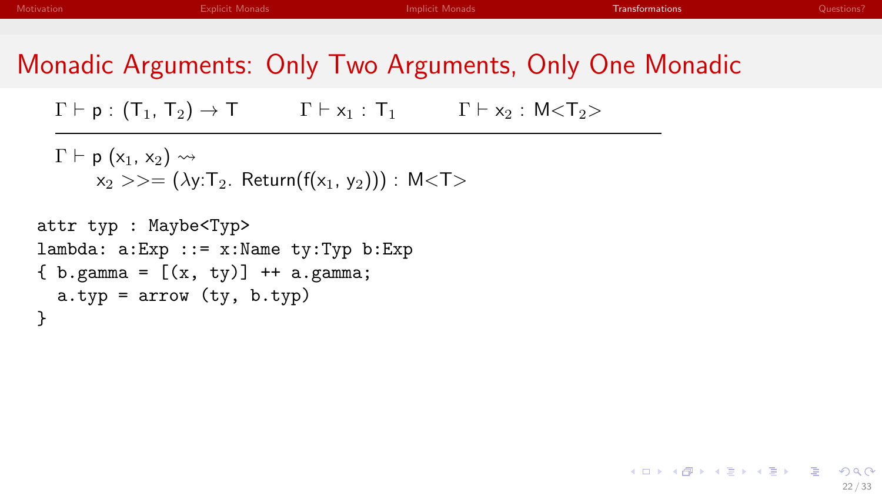イロト イ母 トマミト マミト ニミー りなび

#### Monadic Arguments: Only Two Arguments, Only One Monadic

 $\Gamma \vdash p : (T_1, T_2) \rightarrow T$   $\Gamma \vdash x_1 : T_1$   $\Gamma \vdash x_2 : M < T_2$ 

 $\Gamma \vdash p$  (x<sub>1</sub>, x<sub>2</sub>)  $\rightsquigarrow$  $x_2 >> = (\lambda y \cdot T_2$ . Return(f(x<sub>1</sub>, y<sub>2</sub>))) : M<T>

```
attr typ : Maybe<Typ>
lambda: a:Exp :: = x:Name ty:Typ b:Exp\{ b. \text{gamma} = [(x, ty)] + a. \text{gamma};a.typ = arrow (ty, b.typ)}
```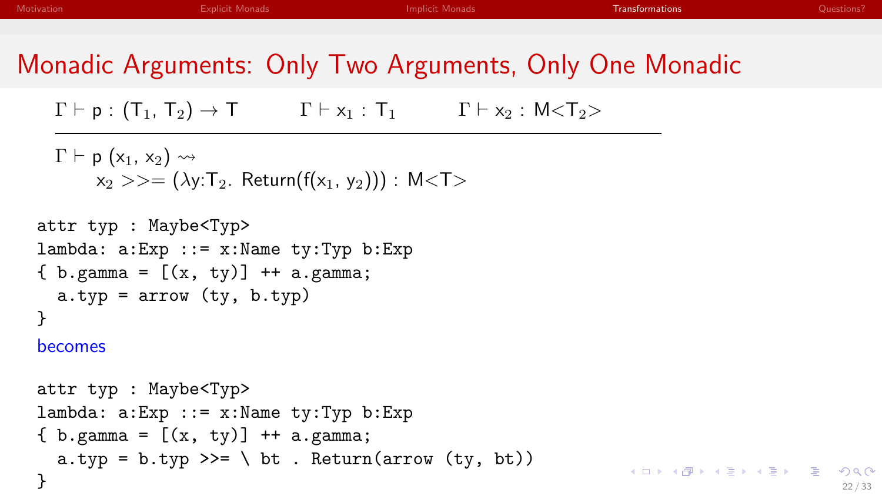K ロ ▶ K @ ▶ K ミ ▶ K ミ ▶ │ ミ │ K 9 Q Q

# Monadic Arguments: Only Two Arguments, Only One Monadic

 $\Gamma \vdash p : (T_1, T_2) \rightarrow T$   $\Gamma \vdash x_1 : T_1$   $\Gamma \vdash x_2 : M < T_2$ 

```
\Gamma \vdash p (x<sub>1</sub>, x<sub>2</sub>) \rightsquigarrowx_2 \gg = (\lambda y: T_2. Return(f(x<sub>1</sub>, y<sub>2</sub>))) : M<T>
```

```
attr typ : Maybe<Typ>
lambda: a:Exp :: = x:Name ty:Typ b:Exp{ b. gamma = [(x, ty)] + + a. gamma;
  a.typ = arrow (ty, b.typ)}
```
becomes

```
attr typ : Maybe<Typ>
lambda: a:Exp ::= x:Name ty:Typ b:Exp{ b. gamma = [(x, ty)] + + a. gamma;
  a.typ = b.typ >>= \ bt . Return(arrow (ty, bt))
}
```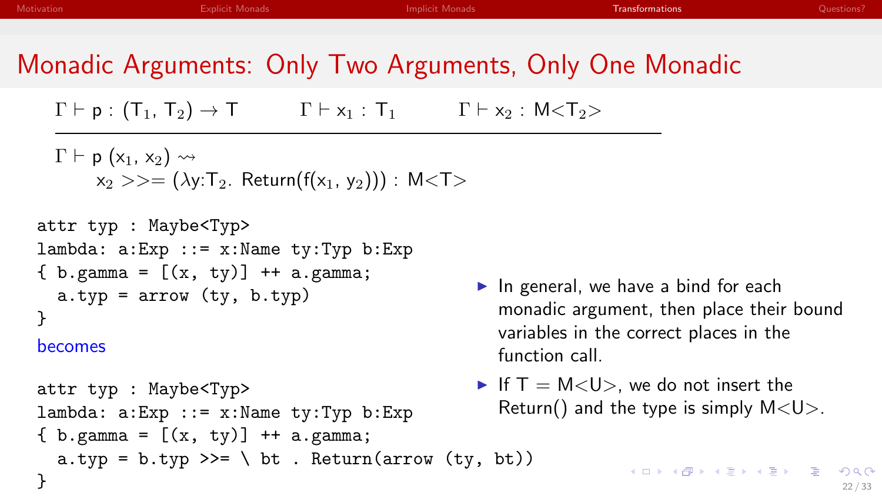#### Monadic Arguments: Only Two Arguments, Only One Monadic

 $\Gamma \vdash p : (T_1, T_2) \rightarrow T$   $\Gamma \vdash x_1 : T_1$   $\Gamma \vdash x_2 : M < T_2$ 

 $\Gamma \vdash p$  (x<sub>1</sub>, x<sub>2</sub>)  $\rightsquigarrow$  $x_2 >> = (\lambda y: T_2$ . Return(f(x<sub>1</sub>, y<sub>2</sub>))) : M<T>

```
attr typ : Maybe<Typ>
lambda: a:Exp :: = x:Name ty:Typ b:Exp\{ b. \text{gamma} = [(x, ty)] + a. \text{gamma};a.typ = arrow (ty, b.typ)}
```
#### becomes

```
attr typ : Maybe<Typ>
lambda: a:Exp :: = x:Name ty:Typ b:Exp\{ b. \text{gamma} = [(x, ty)] + a. \text{gamma};a.typ = b.typ \gg = \ \ b bt . Return(arrow (ty, bt))
}
```
- $\blacktriangleright$  In general, we have a bind for each monadic argument, then place their bound variables in the correct places in the function call.
- If  $T = M < U>$ , we do not insert the Return() and the type is simply  $M < U >$ .

22 / 33

4 ロ > 4 何 > 4 ミ > 4 ミ > ニ ミ - 9 Q Q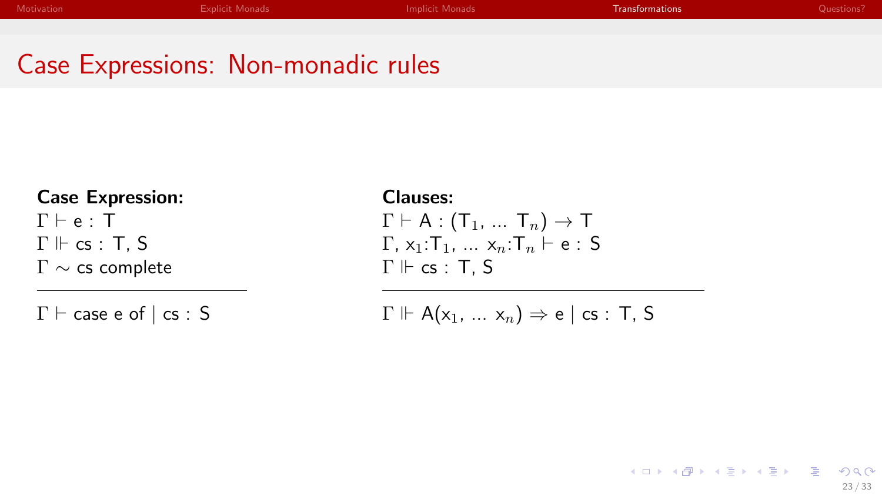#### Case Expressions: Non-monadic rules

#### Case Expression:  $\Gamma \vdash e : T$  $\Gamma \Vdash \mathsf{cs} : \mathsf{T}$ , S Γ ∼ cs complete

 $\Gamma \vdash$  case e of  $\vert$  cs : S

Clauses:  $\Gamma \vdash A : (\mathsf{T}_1, \ldots \mathsf{T}_n) \rightarrow \mathsf{T}$  $\Gamma$ ,  $x_1$ :  $\Gamma_1$ ,  $\ldots$ ,  $x_n$ :  $\Gamma_n$   $\vdash$  e : S  $\Gamma \Vdash \mathsf{cs} : \mathsf{T}$ , S

$$
\Gamma \Vdash A(x_1, \ldots x_n) \Rightarrow e \mid cs : T, S
$$

メロメ メタメ メミメ メミメー ヨー  $2Q$ 23 / 33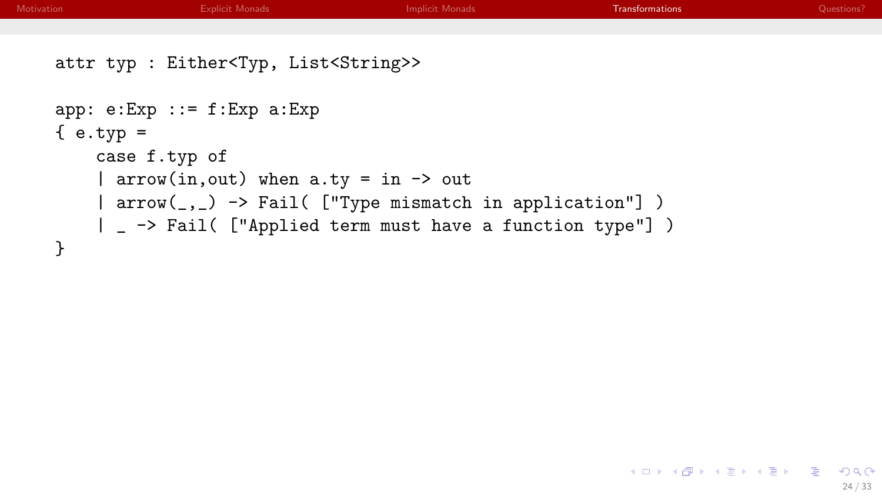| Motivation  | <b>Explicit Monads</b>                                                                                                                                                                                                        | <b>Implicit Monads</b> | <b>Transformations</b> | Questions? |
|-------------|-------------------------------------------------------------------------------------------------------------------------------------------------------------------------------------------------------------------------------|------------------------|------------------------|------------|
|             |                                                                                                                                                                                                                               |                        |                        |            |
|             | attr typ : Either <typ, list<string="">&gt;</typ,>                                                                                                                                                                            |                        |                        |            |
| $\{e.typ =$ | $app: e:Exp :: = f:Exp a:Exp$<br>case f.typ of<br>  $arrow(in,out)$ when $a.ty = in \rightarrow out$<br>  arrow(_,_) -> Fail( ["Type mismatch in application"] )<br>  _ -> Fail( ["Applied term must have a function type"] ) |                        |                        |            |

Ξ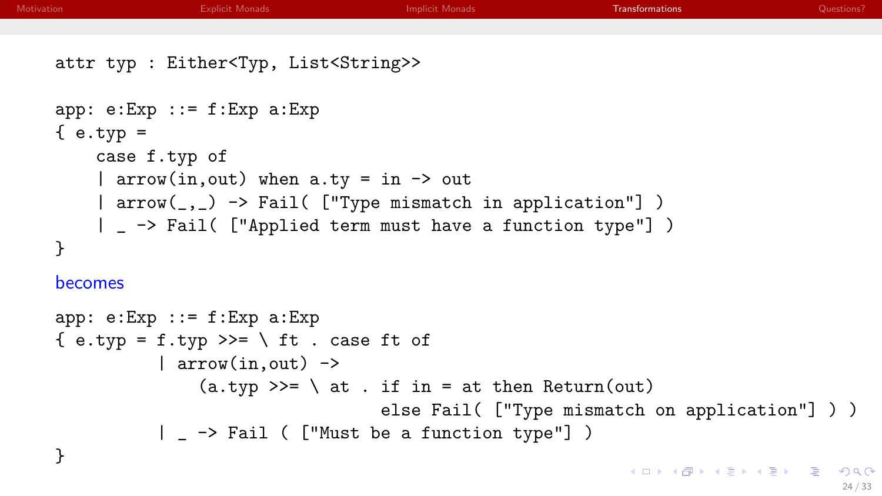| Motivation | <b>Explicit Monads</b><br><b>Implicit Monads</b><br>Transformations<br>Questions?                                  |
|------------|--------------------------------------------------------------------------------------------------------------------|
|            |                                                                                                                    |
|            | attr typ : Either <typ, list<string="">&gt;</typ,>                                                                 |
|            | $app: e:Exp :: = f:Exp a:Exp$<br>$\{e.typ =$<br>case f.typ of<br>  arrow(in, out) when $a.ty = in \rightarrow out$ |
|            | arrow(_,_) -> Fail( ["Type mismatch in application"] )                                                             |
|            | _ -> Fail( ["Applied term must have a function type"] )                                                            |
|            | }                                                                                                                  |
|            | becomes                                                                                                            |
|            | $app: e:Exp :: = f:Exp a:Exp$                                                                                      |
|            | { e.typ = f.typ >>= \ ft . case ft of                                                                              |
|            | $ $ arrow(in, out) $\rightarrow$                                                                                   |
|            | $(a.typ \gg = \ \ at \ . \ if \ in = at then Return(out)$                                                          |
|            | else Fail( ["Type mismatch on application"] ) )                                                                    |
|            | _ -> Fail ( ["Must be a function type"] )                                                                          |
|            |                                                                                                                    |

Ξ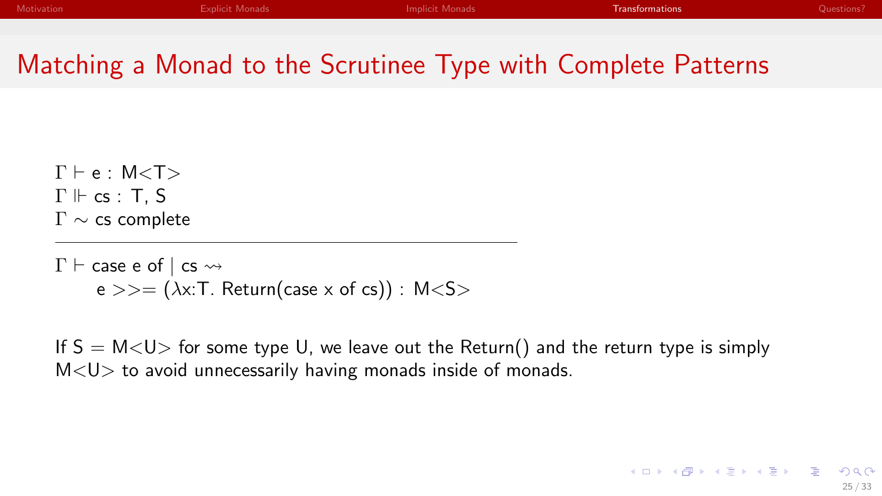$2Q$ 

メロメ メタメ メミメ メミメー ミ

#### Matching a Monad to the Scrutinee Type with Complete Patterns

 $\Gamma \vdash e : M < \mathsf{T} >$  $\Gamma \Vdash \mathsf{cs} : \mathsf{T}$ , S Γ ∼ cs complete

 $\Gamma \vdash$  case e of  $\vert$  cs  $\leadsto$  $e \gg = (\lambda x$ : T. Return(case x of cs)) : M<S>

If  $S = M < U>$  for some type U, we leave out the Return() and the return type is simply  $M < U$  to avoid unnecessarily having monads inside of monads.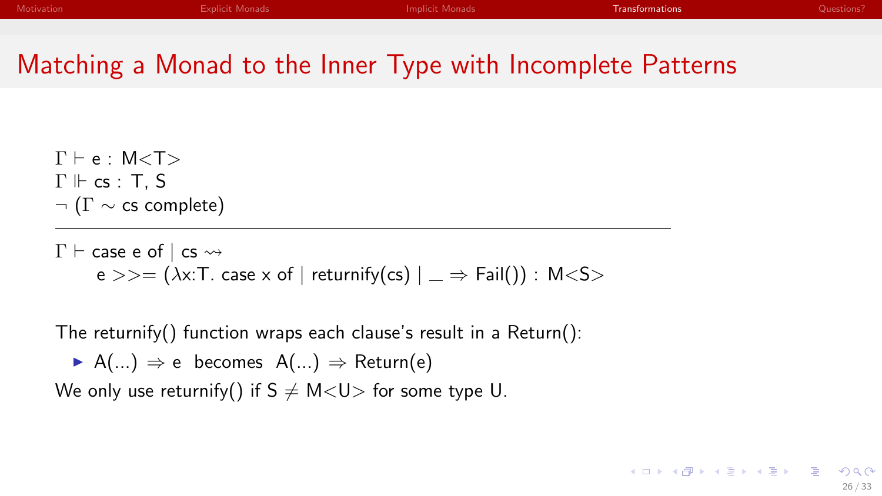#### Matching a Monad to the Inner Type with Incomplete Patterns

 $\Gamma \vdash e : M < \mathsf{T} >$  $\Gamma \Vdash cs : T.S$  $\neg$  ( $\Gamma \sim$  cs complete)

 $\Gamma \vdash$  case e of  $\vdash$  cs  $\rightsquigarrow$  $e \gg = (\lambda x$ : T. case x of | returnify(cs)  $| \Rightarrow$  Fail()) : M < S >

The returnify() function wraps each clause's result in a Return():

 $\triangleright$  A(...)  $\Rightarrow$  e becomes A(...)  $\Rightarrow$  Return(e)

We only use returnify() if  $S \neq M \lt U$  for some type U.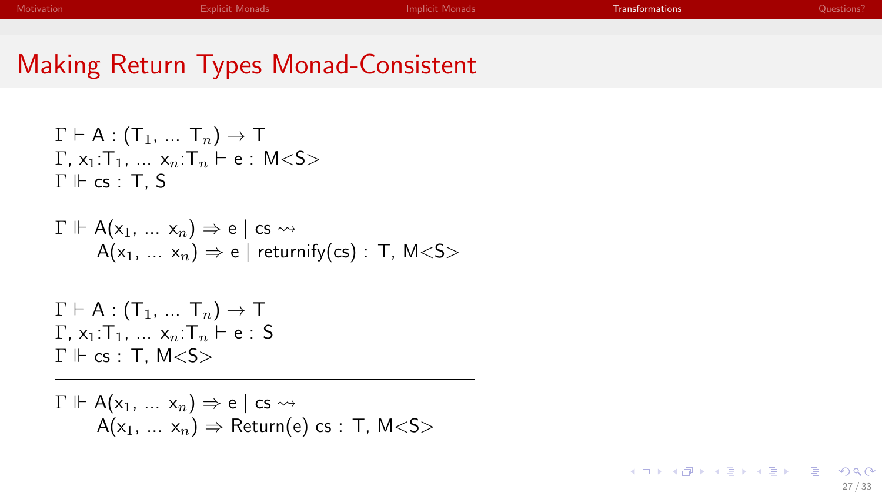| Motivation | Explicit Monads | <b>Implicit Monads</b> | Transformations | Questions ! |
|------------|-----------------|------------------------|-----------------|-------------|
|            |                 |                        |                 |             |

#### Making Return Types Monad-Consistent

$$
\Gamma \vdash A : (T_1, ... T_n) \to T
$$
  
\n
$$
\Gamma, x_1: T_1, ... x_n: T_n \vdash e : M < S >
$$
  
\n
$$
\Gamma \Vdash cs : T, S
$$

$$
\Gamma \Vdash A(x_1, \ldots x_n) \Rightarrow e \mid \text{cs} \rightsquigarrow A(x_1, \ldots x_n) \Rightarrow e \mid \text{returnify}(\text{cs}) : T, M < S >
$$

 $\Gamma \vdash A : (\mathsf{T}_1, \ldots \mathsf{T}_n) \to \mathsf{T}$  $\Gamma$ , x<sub>1</sub>: $\Gamma$ <sub>1</sub>, ... x<sub>n</sub>: $\Gamma$ <sub>n</sub>  $\vdash$  e : S  $\Gamma \Vdash \mathsf{cs} : \mathsf{T}$ , M<S>

$$
\Gamma \Vdash A(x_1, \ldots x_n) \Rightarrow e \mid \text{cs} \leadsto A(x_1, \ldots x_n) \Rightarrow \text{Return}(e) \text{ cs} : T, M < S >
$$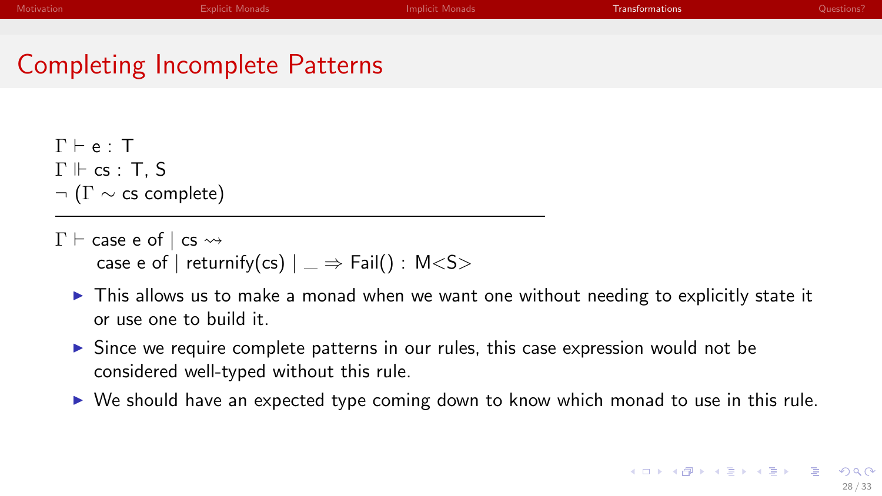#### Completing Incomplete Patterns

 $Γ ⊢ <sub>e</sub> · T$  $\Gamma \Vdash cs : T.S$  $\neg$  ( $\Gamma \sim$  cs complete)

- $\Gamma \vdash$  case e of  $|$  cs  $\leadsto$ case e of | returnify(cs)  $| \Rightarrow$  Fail() : M<S>
	- $\triangleright$  This allows us to make a monad when we want one without needing to explicitly state it or use one to build it.
	- $\triangleright$  Since we require complete patterns in our rules, this case expression would not be considered well-typed without this rule.
	- $\triangleright$  We should have an expected type coming down to know which monad to use in this rule.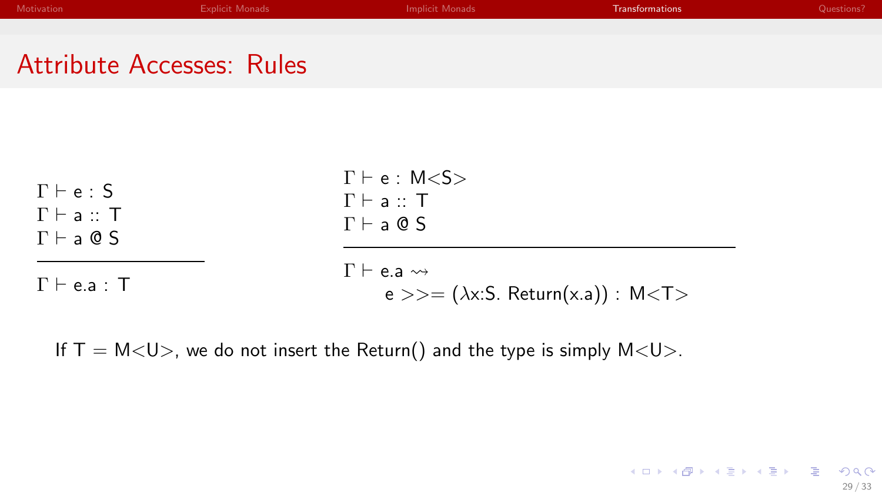| <b>Motivation</b>                | <b>Explicit Monads</b> | Implicit Monads | Transformations | Questions? |
|----------------------------------|------------------------|-----------------|-----------------|------------|
|                                  |                        |                 |                 |            |
|                                  |                        |                 |                 |            |
| <b>Attribute Accesses: Rules</b> |                        |                 |                 |            |

| $\Gamma \vdash e : S$                                      | $\Gamma \vdash e : M < S >$<br>$\Gamma \vdash a :: T$                                    |
|------------------------------------------------------------|------------------------------------------------------------------------------------------|
| $\Gamma \vdash a :: T$<br>$\Gamma \vdash a \circledcirc S$ | $\Gamma \vdash a \circledcirc S$                                                         |
| $\Gamma \vdash$ e.a : $\top$                               | $\Gamma \vdash$ e.a $\rightsquigarrow$<br>$e \gg = (\lambda x.S. Return(x.a)) : M < T >$ |

If  $T = M < U>$ , we do not insert the Return() and the type is simply  $M < U>$ .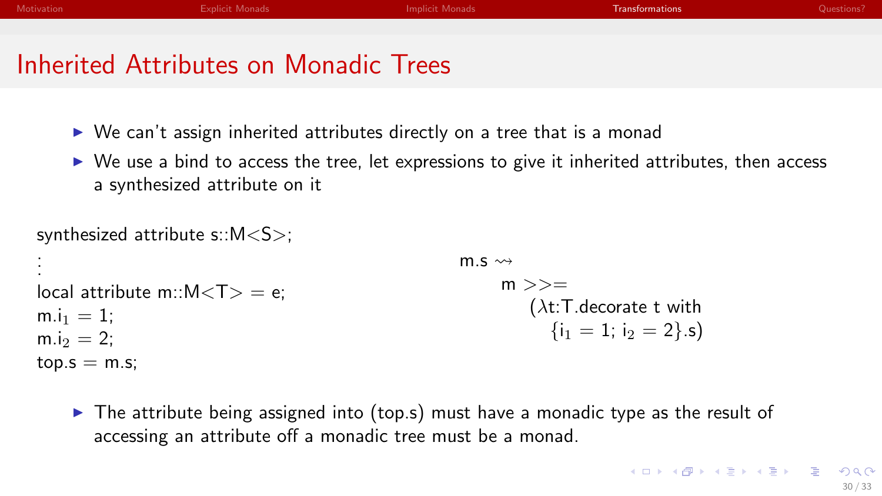- $\triangleright$  We can't assign inherited attributes directly on a tree that is a monad
- $\triangleright$  We use a bind to access the tree, let expressions to give it inherited attributes, then access a synthesized attribute on it

```
synthesized attribute s::M<S>;
.
.
.
local attribute m::M < T > = e:
m.i<sub>1</sub> = 1:
m.i<sub>2</sub> = 2;
top.s = m.s;m \leq \simm \gt\gt=(\lambda t:T.decorate t with
                                                                              {i_1 = 1; i_2 = 2}.s)
```
 $\triangleright$  The attribute being assigned into (top.s) must have a monadic type as the result of accessing an attribute off a monadic tree must be a monad.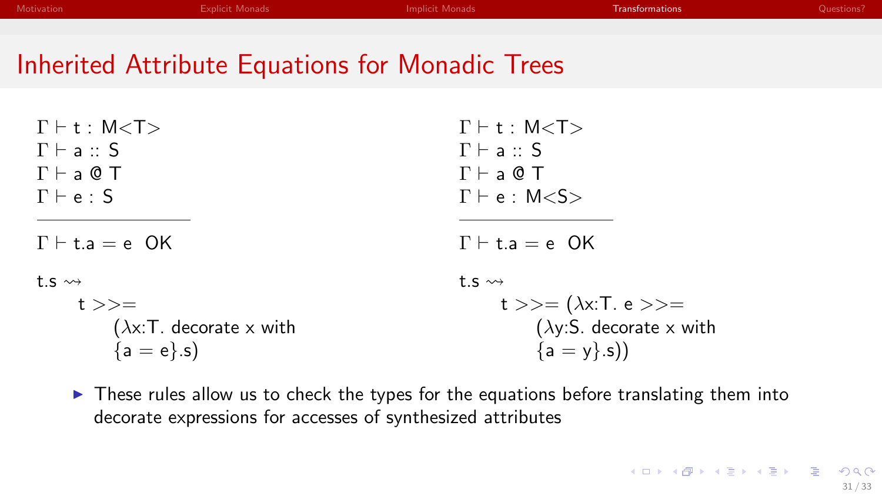| Motivation | <b>Explicit Monads</b> | Implicit Monads | <b>Transformations</b> | Questions? |
|------------|------------------------|-----------------|------------------------|------------|
|            |                        |                 |                        |            |
|            |                        |                 |                        |            |

#### Inherited Attribute Equations for Monadic Trees

| $\Gamma$ + t : M <t></t>          | $\Gamma$ + t : M <t></t>          |
|-----------------------------------|-----------------------------------|
| $\Gamma \vdash a :: S$            | $\Gamma \vdash a :: S$            |
| $\Gamma \vdash a \circledcirc T$  | $\Gamma \vdash a \circledcirc T$  |
| $\Gamma \vdash e : S$             | $\Gamma \vdash e : M \leq S$      |
|                                   |                                   |
| $\Gamma \vdash t.a = e$ OK        | $\Gamma \vdash t.a = e$ OK        |
| t.s $\rightsquigarrow$            | $\uparrow$ s $\rightsquigarrow$   |
| $t \gg =$                         | t >>= $(\lambda x: T. e \rangle)$ |
| $(\lambda x$ : T. decorate x with | ( $\lambda$ y:S. decorate x with  |
| ${a = e}.s$                       | ${a = y}.s$                       |

 $\triangleright$  These rules allow us to check the types for the equations before translating them into decorate expressions for accesses of synthesized attributes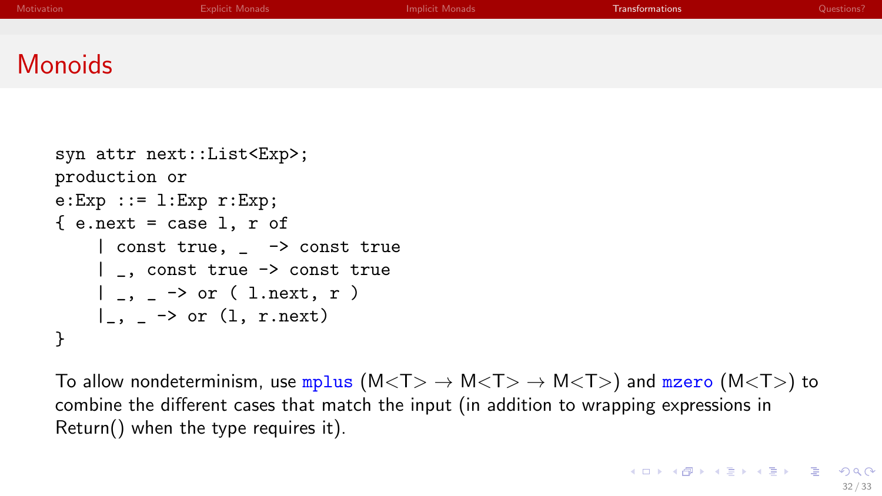<span id="page-54-0"></span>

| Motivation     | <b>Explicit Monads</b> | Implicit Monads | <b>Transformations</b> | Questions? |
|----------------|------------------------|-----------------|------------------------|------------|
|                |                        |                 |                        |            |
|                |                        |                 |                        |            |
| <b>Monoids</b> |                        |                 |                        |            |

```
syn attr next::List<Exp>;
production or
e:Exp ::= 1:Exp r:Exp;\{ e.next = case 1, r of
    | const true, _ -> const true
    | _, const true -> const true
    |, \rightarrow or ( l.next, r )
    |, \rightarrow or (1, r.next)}
```
To allow nondeterminism, use mplus  $(M < T > \rightarrow M < T > \rightarrow M < T >)$  and mzero  $(M < T >)$  to combine the different cases that match the input (in addition to wrapping expressions in Return() when the type requires it).